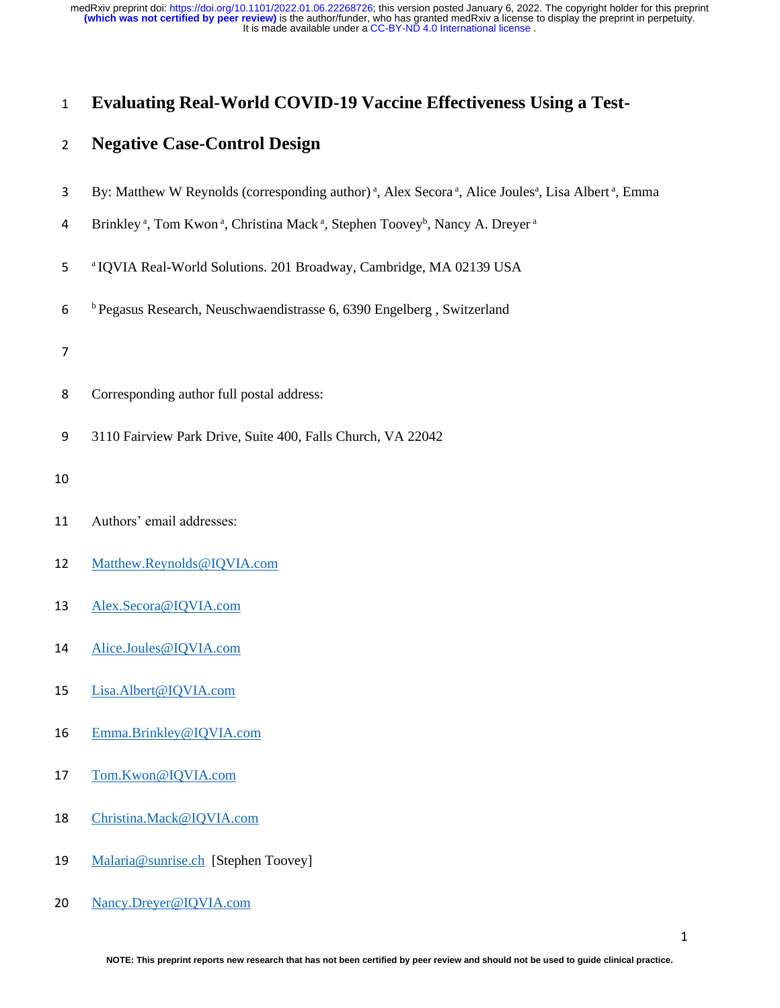It is made available under a CC-BY-ND 4.0 International license. **(which was not certified by peer review)** is the author/funder, who has granted medRxiv a license to display the preprint in perpetuity. medRxiv preprint doi: [https://doi.org/10.1101/2022.01.06.22268726;](https://doi.org/10.1101/2022.01.06.22268726) this version posted January 6, 2022. The copyright holder for this preprint

# **Evaluating Real-World COVID-19 Vaccine Effectiveness Using a Test-**

# **Negative Case-Control Design**

- 3 By: Matthew W Reynolds (corresponding author)<sup>a</sup>, Alex Secora<sup>a</sup>, Alice Joules<sup>a</sup>, Lisa Albert<sup>a</sup>, Emma
- 4 Brinkley<sup>a</sup>, Tom Kwon<sup>a</sup>, Christina Mack<sup>a</sup>, Stephen Toovey<sup>b</sup>, Nancy A. Dreyer<sup>a</sup>
- <sup>a</sup> IQVIA Real-World Solutions. 201 Broadway, Cambridge, MA 02139 USA
- <sup>b</sup> Pegasus Research, Neuschwaendistrasse 6, 6390 Engelberg , Switzerland
- 
- Corresponding author full postal address:
- 3110 Fairview Park Drive, Suite 400, Falls Church, VA 22042
- 
- Authors' email addresses:
- [Matthew.Reynolds@IQVIA.com](mailto:Matthew.Reynolds@IQVIA.com)
- [Alex.Secora@IQVIA.com](mailto:Alex.Secora@IQVIA.com)
- Alice.Joules@IQVIA.com
- [Lisa.Albert@IQVIA.com](mailto:Lisa.Albert@IQVIA.com)
- [Emma.Brinkley@IQVIA.com](mailto:Emma.Brinkley@IQVIA.com)
- [Tom.Kwon@IQVIA.com](mailto:Tom.Kwon@IQVIA.com)
- [Christina.Mack@IQVIA.com](mailto:Christina.Mack@IQVIA.com)
- [Malaria@sunrise.ch](mailto:Malaria@sunrise.ch) [Stephen Toovey]
- [Nancy.Dreyer@IQVIA.com](mailto:Nancy.Dreyer@IQVIA.com)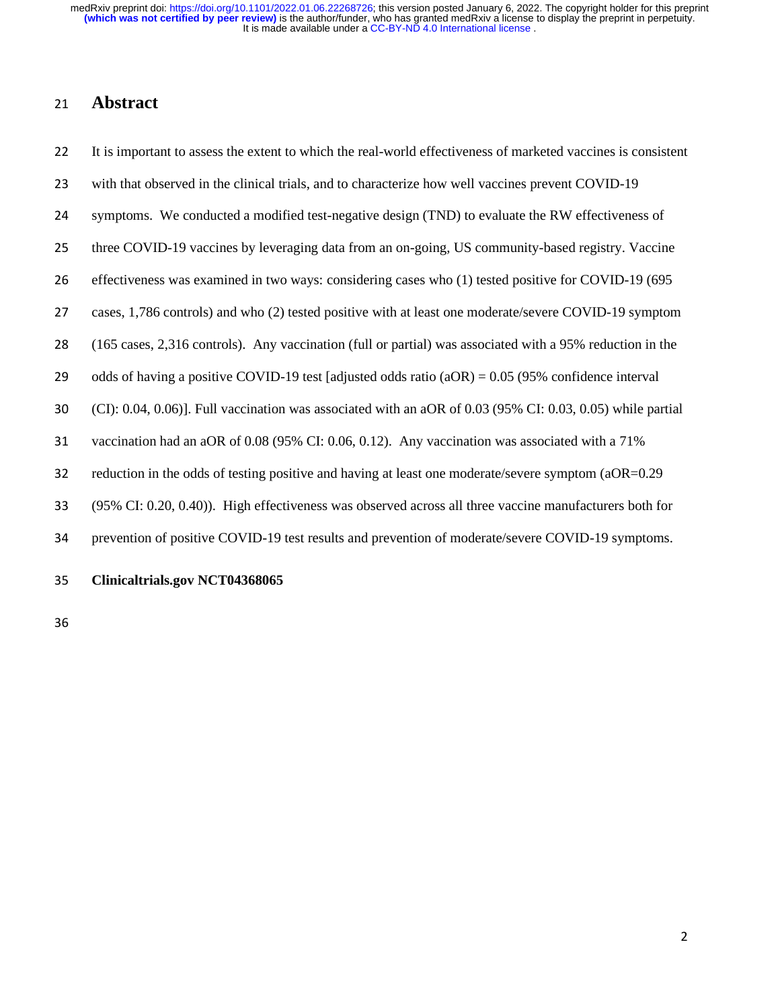### **Abstract**

 It is important to assess the extent to which the real-world effectiveness of marketed vaccines is consistent with that observed in the clinical trials, and to characterize how well vaccines prevent COVID-19 symptoms. We conducted a modified test-negative design (TND) to evaluate the RW effectiveness of three COVID-19 vaccines by leveraging data from an on-going, US community-based registry. Vaccine effectiveness was examined in two ways: considering cases who (1) tested positive for COVID-19 (695 cases, 1,786 controls) and who (2) tested positive with at least one moderate/severe COVID-19 symptom (165 cases, 2,316 controls). Any vaccination (full or partial) was associated with a 95% reduction in the 29 odds of having a positive COVID-19 test [adjusted odds ratio  $(aOR) = 0.05$  (95% confidence interval (CI): 0.04, 0.06)]. Full vaccination was associated with an aOR of 0.03 (95% CI: 0.03, 0.05) while partial vaccination had an aOR of 0.08 (95% CI: 0.06, 0.12). Any vaccination was associated with a 71% reduction in the odds of testing positive and having at least one moderate/severe symptom (aOR=0.29 (95% CI: 0.20, 0.40)). High effectiveness was observed across all three vaccine manufacturers both for prevention of positive COVID-19 test results and prevention of moderate/severe COVID-19 symptoms.

### **Clinicaltrials.gov NCT04368065**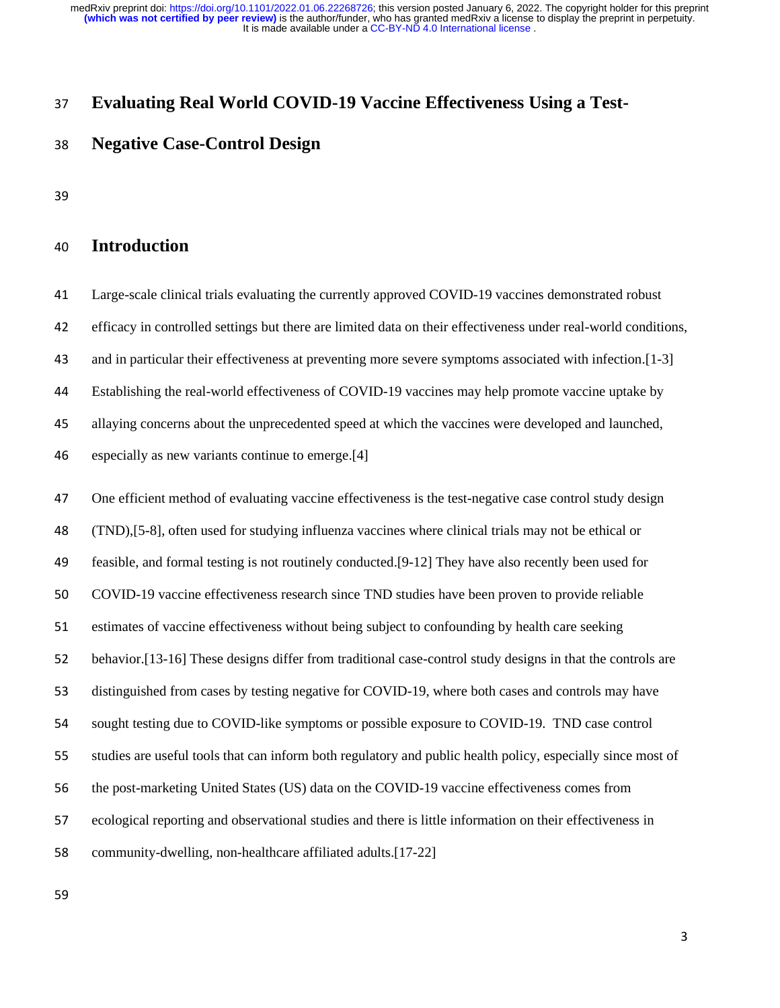## **Evaluating Real World COVID-19 Vaccine Effectiveness Using a Test-**

## **Negative Case-Control Design**

# **Introduction**

 Large-scale clinical trials evaluating the currently approved COVID-19 vaccines demonstrated robust efficacy in controlled settings but there are limited data on their effectiveness under real-world conditions, and in particular their effectiveness at preventing more severe symptoms associated with infection.[1-3] Establishing the real-world effectiveness of COVID-19 vaccines may help promote vaccine uptake by allaying concerns about the unprecedented speed at which the vaccines were developed and launched, especially as new variants continue to emerge.[4]

 One efficient method of evaluating vaccine effectiveness is the test-negative case control study design (TND),[5-8], often used for studying influenza vaccines where clinical trials may not be ethical or feasible, and formal testing is not routinely conducted.[9-12] They have also recently been used for COVID-19 vaccine effectiveness research since TND studies have been proven to provide reliable estimates of vaccine effectiveness without being subject to confounding by health care seeking behavior.[13-16] These designs differ from traditional case-control study designs in that the controls are distinguished from cases by testing negative for COVID-19, where both cases and controls may have sought testing due to COVID-like symptoms or possible exposure to COVID-19. TND case control studies are useful tools that can inform both regulatory and public health policy, especially since most of the post-marketing United States (US) data on the COVID-19 vaccine effectiveness comes from ecological reporting and observational studies and there is little information on their effectiveness in community-dwelling, non-healthcare affiliated adults.[17-22]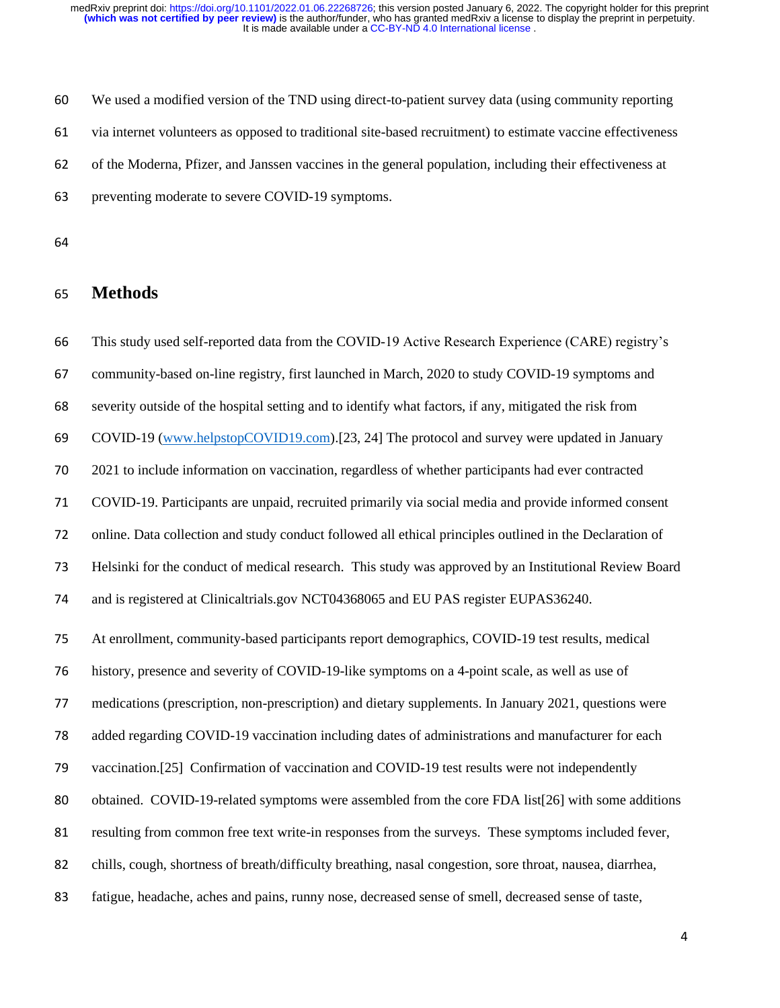We used a modified version of the TND using direct-to-patient survey data (using community reporting via internet volunteers as opposed to traditional site-based recruitment) to estimate vaccine effectiveness of the Moderna, Pfizer, and Janssen vaccines in the general population, including their effectiveness at preventing moderate to severe COVID-19 symptoms.

## **Methods**

 This study used self-reported data from the COVID-19 Active Research Experience (CARE) registry's community-based on-line registry, first launched in March, 2020 to study COVID-19 symptoms and severity outside of the hospital setting and to identify what factors, if any, mitigated the risk from COVID-19 [\(www.helpstopCOVID19.com\)](http://www.helpstopcovid19.com/).[23, 24] The protocol and survey were updated in January 2021 to include information on vaccination, regardless of whether participants had ever contracted COVID-19. Participants are unpaid, recruited primarily via social media and provide informed consent online. Data collection and study conduct followed all ethical principles outlined in the Declaration of Helsinki for the conduct of medical research. This study was approved by an Institutional Review Board and is registered at Clinicaltrials.gov NCT04368065 and EU PAS register EUPAS36240. At enrollment, community-based participants report demographics, COVID-19 test results, medical history, presence and severity of COVID-19-like symptoms on a 4-point scale, as well as use of medications (prescription, non-prescription) and dietary supplements. In January 2021, questions were added regarding COVID-19 vaccination including dates of administrations and manufacturer for each vaccination.[25] Confirmation of vaccination and COVID-19 test results were not independently obtained. COVID-19-related symptoms were assembled from the core FDA list[26] with some additions resulting from common free text write-in responses from the surveys. These symptoms included fever, chills, cough, shortness of breath/difficulty breathing, nasal congestion, sore throat, nausea, diarrhea, fatigue, headache, aches and pains, runny nose, decreased sense of smell, decreased sense of taste,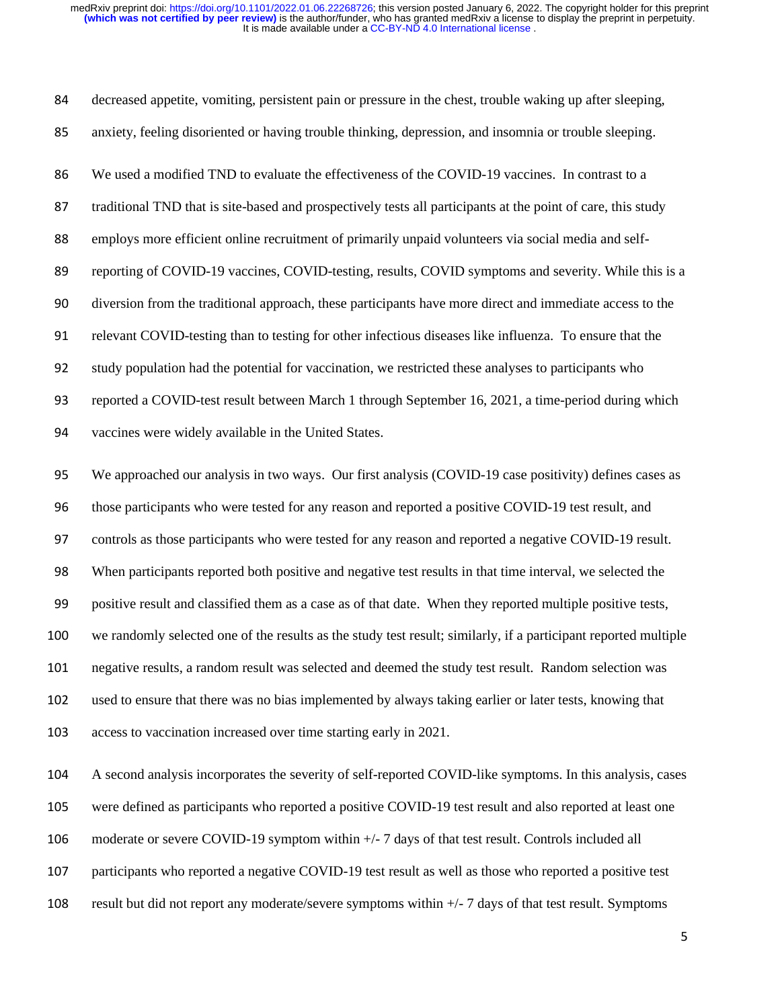decreased appetite, vomiting, persistent pain or pressure in the chest, trouble waking up after sleeping, anxiety, feeling disoriented or having trouble thinking, depression, and insomnia or trouble sleeping. We used a modified TND to evaluate the effectiveness of the COVID-19 vaccines. In contrast to a traditional TND that is site-based and prospectively tests all participants at the point of care, this study employs more efficient online recruitment of primarily unpaid volunteers via social media and self-89 reporting of COVID-19 vaccines, COVID-testing, results, COVID symptoms and severity. While this is a diversion from the traditional approach, these participants have more direct and immediate access to the relevant COVID-testing than to testing for other infectious diseases like influenza. To ensure that the study population had the potential for vaccination, we restricted these analyses to participants who reported a COVID-test result between March 1 through September 16, 2021, a time-period during which vaccines were widely available in the United States.

 We approached our analysis in two ways. Our first analysis (COVID-19 case positivity) defines cases as those participants who were tested for any reason and reported a positive COVID-19 test result, and controls as those participants who were tested for any reason and reported a negative COVID-19 result. When participants reported both positive and negative test results in that time interval, we selected the positive result and classified them as a case as of that date. When they reported multiple positive tests, we randomly selected one of the results as the study test result; similarly, if a participant reported multiple negative results, a random result was selected and deemed the study test result. Random selection was used to ensure that there was no bias implemented by always taking earlier or later tests, knowing that access to vaccination increased over time starting early in 2021.

 A second analysis incorporates the severity of self-reported COVID-like symptoms. In this analysis, cases were defined as participants who reported a positive COVID-19 test result and also reported at least one

moderate or severe COVID-19 symptom within +/- 7 days of that test result. Controls included all

participants who reported a negative COVID-19 test result as well as those who reported a positive test

result but did not report any moderate/severe symptoms within +/- 7 days of that test result. Symptoms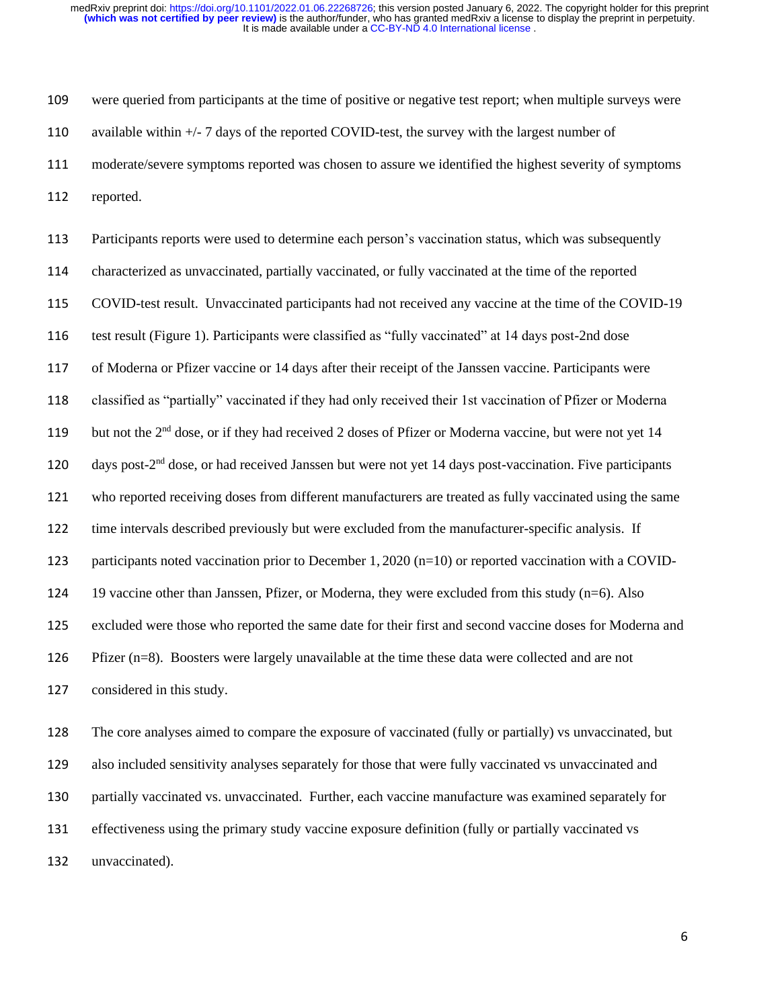were queried from participants at the time of positive or negative test report; when multiple surveys were available within +/- 7 days of the reported COVID-test, the survey with the largest number of moderate/severe symptoms reported was chosen to assure we identified the highest severity of symptoms reported.

 Participants reports were used to determine each person's vaccination status, which was subsequently characterized as unvaccinated, partially vaccinated, or fully vaccinated at the time of the reported COVID-test result. Unvaccinated participants had not received any vaccine at the time of the COVID-19 test result (Figure 1). Participants were classified as "fully vaccinated" at 14 days post-2nd dose of Moderna or Pfizer vaccine or 14 days after their receipt of the Janssen vaccine. Participants were classified as "partially" vaccinated if they had only received their 1st vaccination of Pfizer or Moderna 119 but not the  $2<sup>nd</sup>$  dose, or if they had received 2 doses of Pfizer or Moderna vaccine, but were not yet 14 120 days post-2<sup>nd</sup> dose, or had received Janssen but were not yet 14 days post-vaccination. Five participants who reported receiving doses from different manufacturers are treated as fully vaccinated using the same time intervals described previously but were excluded from the manufacturer-specific analysis. If participants noted vaccination prior to December 1, 2020 (n=10) or reported vaccination with a COVID- 19 vaccine other than Janssen, Pfizer, or Moderna, they were excluded from this study (n=6). Also excluded were those who reported the same date for their first and second vaccine doses for Moderna and Pfizer (n=8). Boosters were largely unavailable at the time these data were collected and are not considered in this study.

 The core analyses aimed to compare the exposure of vaccinated (fully or partially) vs unvaccinated, but also included sensitivity analyses separately for those that were fully vaccinated vs unvaccinated and partially vaccinated vs. unvaccinated. Further, each vaccine manufacture was examined separately for effectiveness using the primary study vaccine exposure definition (fully or partially vaccinated vs unvaccinated).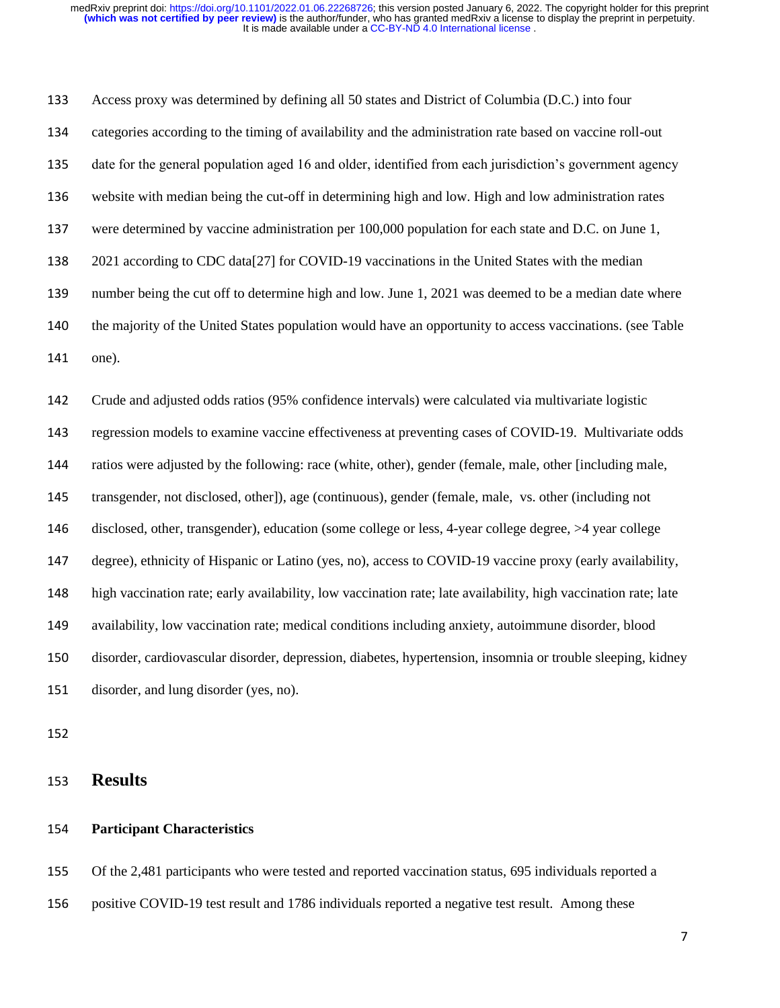Access proxy was determined by defining all 50 states and District of Columbia (D.C.) into four categories according to the timing of availability and the administration rate based on vaccine roll-out date for the general population aged 16 and older, identified from each jurisdiction's government agency website with median being the cut-off in determining high and low. High and low administration rates were determined by vaccine administration per 100,000 population for each state and D.C. on June 1, 2021 according to CDC data[27] for COVID-19 vaccinations in the United States with the median number being the cut off to determine high and low. June 1, 2021 was deemed to be a median date where the majority of the United States population would have an opportunity to access vaccinations. (see Table one).

 Crude and adjusted odds ratios (95% confidence intervals) were calculated via multivariate logistic regression models to examine vaccine effectiveness at preventing cases of COVID-19. Multivariate odds ratios were adjusted by the following: race (white, other), gender (female, male, other [including male, transgender, not disclosed, other]), age (continuous), gender (female, male, vs. other (including not disclosed, other, transgender), education (some college or less, 4-year college degree, >4 year college degree), ethnicity of Hispanic or Latino (yes, no), access to COVID-19 vaccine proxy (early availability, high vaccination rate; early availability, low vaccination rate; late availability, high vaccination rate; late availability, low vaccination rate; medical conditions including anxiety, autoimmune disorder, blood disorder, cardiovascular disorder, depression, diabetes, hypertension, insomnia or trouble sleeping, kidney disorder, and lung disorder (yes, no).

**Results**

### **Participant Characteristics**

 Of the 2,481 participants who were tested and reported vaccination status, 695 individuals reported a positive COVID-19 test result and 1786 individuals reported a negative test result. Among these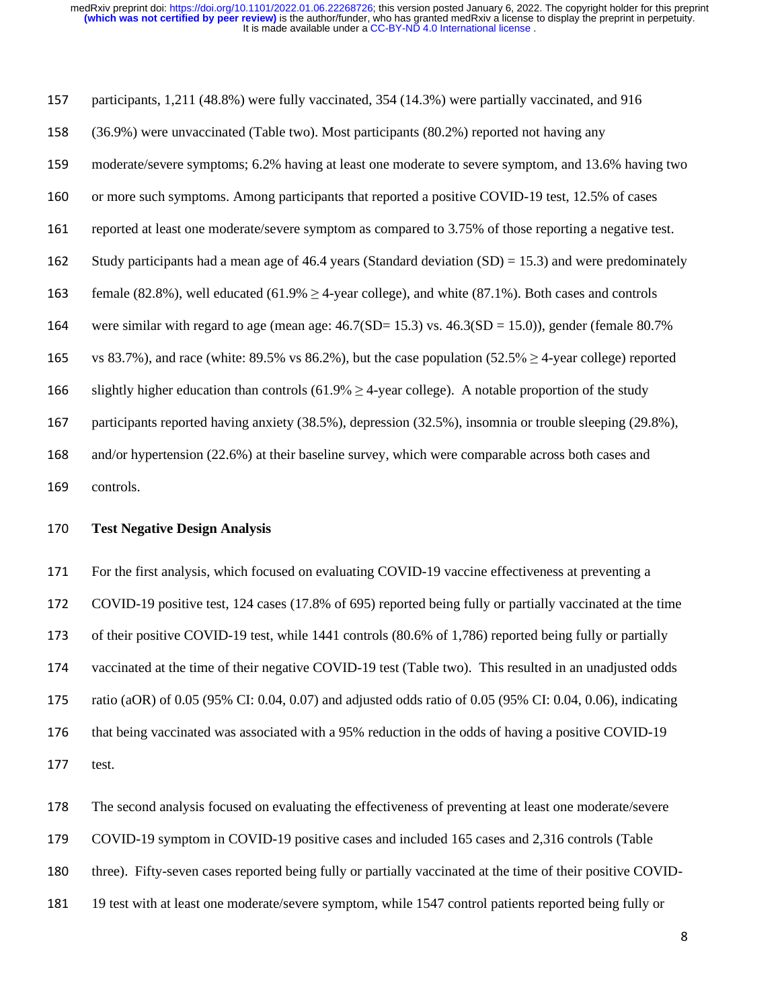participants, 1,211 (48.8%) were fully vaccinated, 354 (14.3%) were partially vaccinated, and 916 (36.9%) were unvaccinated (Table two). Most participants (80.2%) reported not having any moderate/severe symptoms; 6.2% having at least one moderate to severe symptom, and 13.6% having two or more such symptoms. Among participants that reported a positive COVID-19 test, 12.5% of cases reported at least one moderate/severe symptom as compared to 3.75% of those reporting a negative test. 162 Study participants had a mean age of 46.4 years (Standard deviation  $(SD) = 15.3$ ) and were predominately 163 female (82.8%), well educated (61.9%  $\geq$  4-year college), and white (87.1%). Both cases and controls 164 were similar with regard to age (mean age:  $46.7(SD=15.3)$  vs.  $46.3(SD=15.0)$ ), gender (female 80.7%) 165 vs 83.7%), and race (white: 89.5% vs 86.2%), but the case population  $(52.5\% \ge 4$ -year college) reported 166 slightly higher education than controls  $(61.9\% \ge 4$ -year college). A notable proportion of the study participants reported having anxiety (38.5%), depression (32.5%), insomnia or trouble sleeping (29.8%), and/or hypertension (22.6%) at their baseline survey, which were comparable across both cases and

controls.

#### **Test Negative Design Analysis**

 For the first analysis, which focused on evaluating COVID-19 vaccine effectiveness at preventing a COVID-19 positive test, 124 cases (17.8% of 695) reported being fully or partially vaccinated at the time of their positive COVID-19 test, while 1441 controls (80.6% of 1,786) reported being fully or partially vaccinated at the time of their negative COVID-19 test (Table two). This resulted in an unadjusted odds ratio (aOR) of 0.05 (95% CI: 0.04, 0.07) and adjusted odds ratio of 0.05 (95% CI: 0.04, 0.06), indicating that being vaccinated was associated with a 95% reduction in the odds of having a positive COVID-19 test.

The second analysis focused on evaluating the effectiveness of preventing at least one moderate/severe

COVID-19 symptom in COVID-19 positive cases and included 165 cases and 2,316 controls (Table

three). Fifty-seven cases reported being fully or partially vaccinated at the time of their positive COVID-

19 test with at least one moderate/severe symptom, while 1547 control patients reported being fully or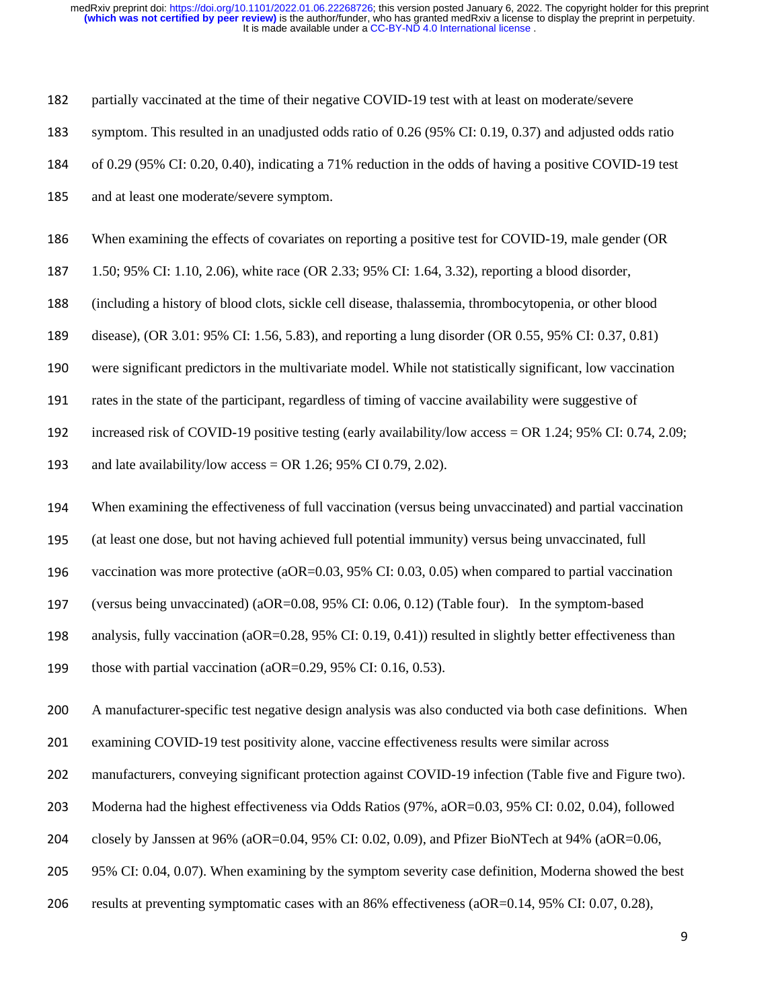partially vaccinated at the time of their negative COVID-19 test with at least on moderate/severe

- symptom. This resulted in an unadjusted odds ratio of 0.26 (95% CI: 0.19, 0.37) and adjusted odds ratio
- of 0.29 (95% CI: 0.20, 0.40), indicating a 71% reduction in the odds of having a positive COVID-19 test
- and at least one moderate/severe symptom.
- When examining the effects of covariates on reporting a positive test for COVID-19, male gender (OR
- 1.50; 95% CI: 1.10, 2.06), white race (OR 2.33; 95% CI: 1.64, 3.32), reporting a blood disorder,
- (including a history of blood clots, sickle cell disease, thalassemia, thrombocytopenia, or other blood
- disease), (OR 3.01: 95% CI: 1.56, 5.83), and reporting a lung disorder (OR 0.55, 95% CI: 0.37, 0.81)
- were significant predictors in the multivariate model. While not statistically significant, low vaccination
- rates in the state of the participant, regardless of timing of vaccine availability were suggestive of
- increased risk of COVID-19 positive testing (early availability/low access = OR 1.24; 95% CI: 0.74, 2.09;
- 193 and late availability/low access = OR 1.26; 95% CI 0.79, 2.02).
- When examining the effectiveness of full vaccination (versus being unvaccinated) and partial vaccination
- (at least one dose, but not having achieved full potential immunity) versus being unvaccinated, full
- vaccination was more protective (aOR=0.03, 95% CI: 0.03, 0.05) when compared to partial vaccination
- (versus being unvaccinated) (aOR=0.08, 95% CI: 0.06, 0.12) (Table four). In the symptom-based
- analysis, fully vaccination (aOR=0.28, 95% CI: 0.19, 0.41)) resulted in slightly better effectiveness than
- 199 those with partial vaccination (aOR= $0.29$ , 95% CI: 0.16, 0.53).
- A manufacturer-specific test negative design analysis was also conducted via both case definitions. When
- examining COVID-19 test positivity alone, vaccine effectiveness results were similar across
- manufacturers, conveying significant protection against COVID-19 infection (Table five and Figure two).
- Moderna had the highest effectiveness via Odds Ratios (97%, aOR=0.03, 95% CI: 0.02, 0.04), followed
- closely by Janssen at 96% (aOR=0.04, 95% CI: 0.02, 0.09), and Pfizer BioNTech at 94% (aOR=0.06,
- 95% CI: 0.04, 0.07). When examining by the symptom severity case definition, Moderna showed the best
- results at preventing symptomatic cases with an 86% effectiveness (aOR=0.14, 95% CI: 0.07, 0.28),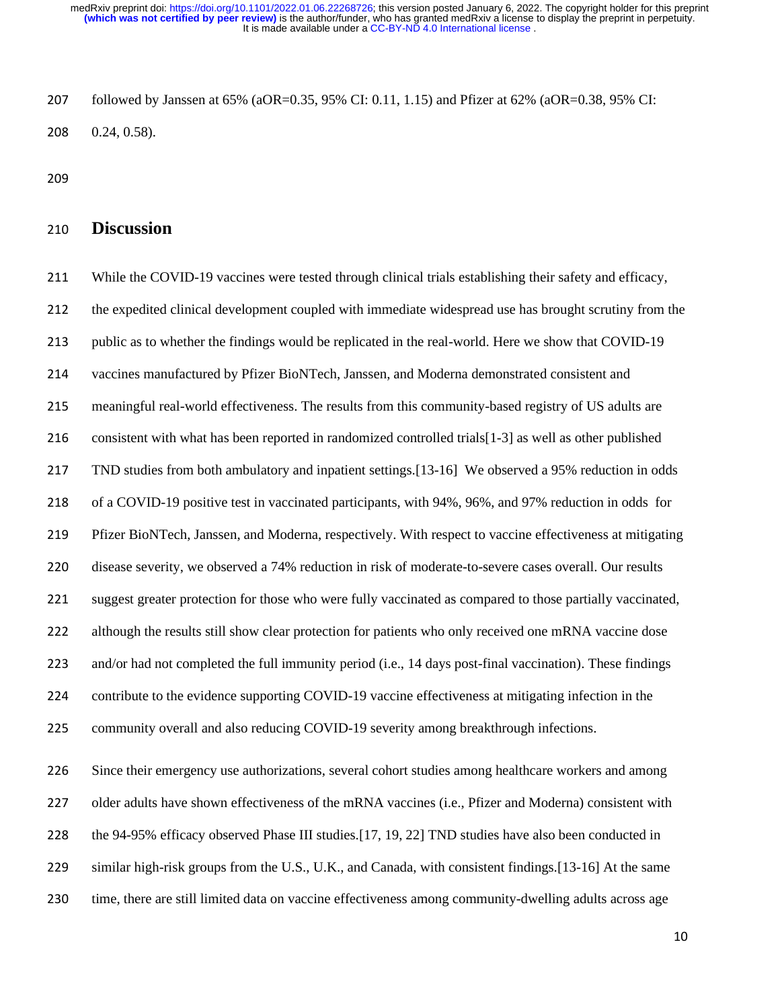followed by Janssen at 65% (aOR=0.35, 95% CI: 0.11, 1.15) and Pfizer at 62% (aOR=0.38, 95% CI: 0.24, 0.58).

# **Discussion**

 While the COVID-19 vaccines were tested through clinical trials establishing their safety and efficacy, the expedited clinical development coupled with immediate widespread use has brought scrutiny from the public as to whether the findings would be replicated in the real-world. Here we show that COVID-19 vaccines manufactured by Pfizer BioNTech, Janssen, and Moderna demonstrated consistent and meaningful real-world effectiveness. The results from this community-based registry of US adults are consistent with what has been reported in randomized controlled trials[1-3] as well as other published TND studies from both ambulatory and inpatient settings.[13-16] We observed a 95% reduction in odds of a COVID-19 positive test in vaccinated participants, with 94%, 96%, and 97% reduction in odds for Pfizer BioNTech, Janssen, and Moderna, respectively. With respect to vaccine effectiveness at mitigating disease severity, we observed a 74% reduction in risk of moderate-to-severe cases overall. Our results suggest greater protection for those who were fully vaccinated as compared to those partially vaccinated, 222 although the results still show clear protection for patients who only received one mRNA vaccine dose and/or had not completed the full immunity period (i.e., 14 days post-final vaccination). These findings contribute to the evidence supporting COVID-19 vaccine effectiveness at mitigating infection in the 225 community overall and also reducing COVID-19 severity among breakthrough infections. Since their emergency use authorizations, several cohort studies among healthcare workers and among 227 older adults have shown effectiveness of the mRNA vaccines (i.e., Pfizer and Moderna) consistent with the 94-95% efficacy observed Phase III studies.[17, 19, 22] TND studies have also been conducted in similar high-risk groups from the U.S., U.K., and Canada, with consistent findings.[13-16] At the same time, there are still limited data on vaccine effectiveness among community-dwelling adults across age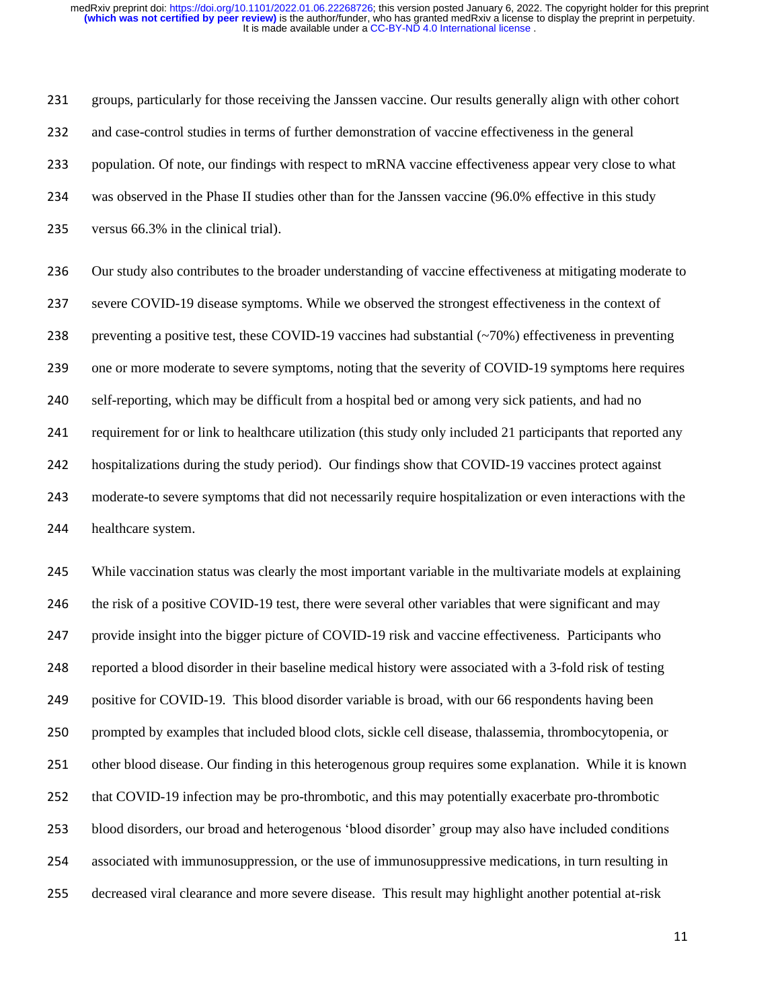groups, particularly for those receiving the Janssen vaccine. Our results generally align with other cohort and case-control studies in terms of further demonstration of vaccine effectiveness in the general population. Of note, our findings with respect to mRNA vaccine effectiveness appear very close to what was observed in the Phase II studies other than for the Janssen vaccine (96.0% effective in this study versus 66.3% in the clinical trial).

 Our study also contributes to the broader understanding of vaccine effectiveness at mitigating moderate to severe COVID-19 disease symptoms. While we observed the strongest effectiveness in the context of 238 preventing a positive test, these COVID-19 vaccines had substantial  $(\sim 70\%)$  effectiveness in preventing one or more moderate to severe symptoms, noting that the severity of COVID-19 symptoms here requires self-reporting, which may be difficult from a hospital bed or among very sick patients, and had no requirement for or link to healthcare utilization (this study only included 21 participants that reported any hospitalizations during the study period). Our findings show that COVID-19 vaccines protect against moderate-to severe symptoms that did not necessarily require hospitalization or even interactions with the healthcare system.

 While vaccination status was clearly the most important variable in the multivariate models at explaining 246 the risk of a positive COVID-19 test, there were several other variables that were significant and may provide insight into the bigger picture of COVID-19 risk and vaccine effectiveness. Participants who reported a blood disorder in their baseline medical history were associated with a 3-fold risk of testing positive for COVID-19. This blood disorder variable is broad, with our 66 respondents having been prompted by examples that included blood clots, sickle cell disease, thalassemia, thrombocytopenia, or other blood disease. Our finding in this heterogenous group requires some explanation. While it is known that COVID-19 infection may be pro-thrombotic, and this may potentially exacerbate pro-thrombotic blood disorders, our broad and heterogenous 'blood disorder' group may also have included conditions associated with immunosuppression, or the use of immunosuppressive medications, in turn resulting in decreased viral clearance and more severe disease. This result may highlight another potential at-risk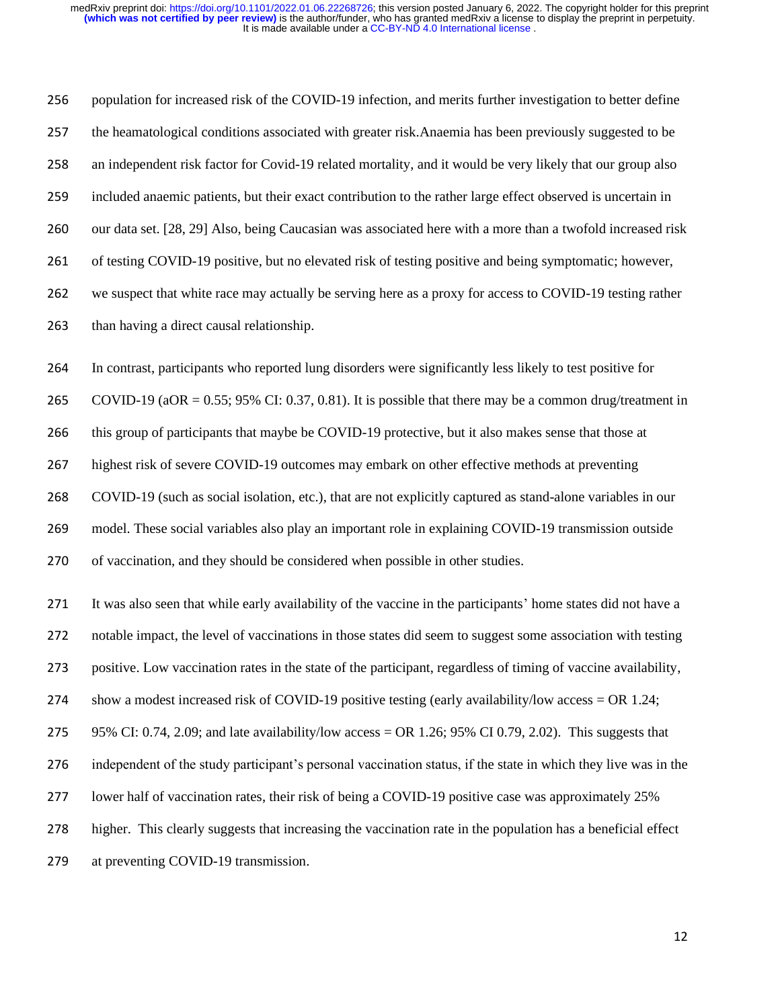population for increased risk of the COVID-19 infection, and merits further investigation to better define the heamatological conditions associated with greater risk.Anaemia has been previously suggested to be an independent risk factor for Covid-19 related mortality, and it would be very likely that our group also included anaemic patients, but their exact contribution to the rather large effect observed is uncertain in our data set. [28, 29] Also, being Caucasian was associated here with a more than a twofold increased risk of testing COVID-19 positive, but no elevated risk of testing positive and being symptomatic; however, we suspect that white race may actually be serving here as a proxy for access to COVID-19 testing rather than having a direct causal relationship. In contrast, participants who reported lung disorders were significantly less likely to test positive for COVID-19 (aOR = 0.55; 95% CI: 0.37, 0.81). It is possible that there may be a common drug/treatment in this group of participants that maybe be COVID-19 protective, but it also makes sense that those at highest risk of severe COVID-19 outcomes may embark on other effective methods at preventing COVID-19 (such as social isolation, etc.), that are not explicitly captured as stand-alone variables in our model. These social variables also play an important role in explaining COVID-19 transmission outside of vaccination, and they should be considered when possible in other studies. It was also seen that while early availability of the vaccine in the participants' home states did not have a notable impact, the level of vaccinations in those states did seem to suggest some association with testing positive. Low vaccination rates in the state of the participant, regardless of timing of vaccine availability, show a modest increased risk of COVID-19 positive testing (early availability/low access = OR 1.24; 275 95% CI: 0.74, 2.09; and late availability/low access = OR 1.26; 95% CI 0.79, 2.02). This suggests that independent of the study participant's personal vaccination status, if the state in which they live was in the lower half of vaccination rates, their risk of being a COVID-19 positive case was approximately 25% higher. This clearly suggests that increasing the vaccination rate in the population has a beneficial effect at preventing COVID-19 transmission.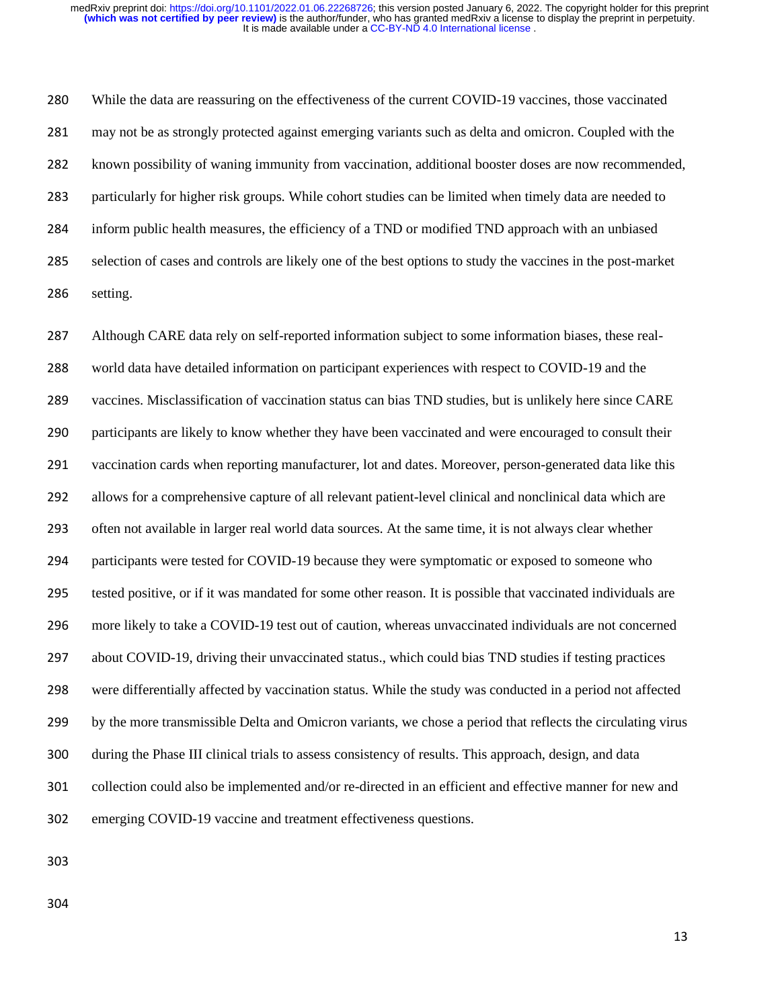While the data are reassuring on the effectiveness of the current COVID-19 vaccines, those vaccinated may not be as strongly protected against emerging variants such as delta and omicron. Coupled with the known possibility of waning immunity from vaccination, additional booster doses are now recommended, particularly for higher risk groups. While cohort studies can be limited when timely data are needed to inform public health measures, the efficiency of a TND or modified TND approach with an unbiased selection of cases and controls are likely one of the best options to study the vaccines in the post-market setting.

 Although CARE data rely on self-reported information subject to some information biases, these real- world data have detailed information on participant experiences with respect to COVID-19 and the vaccines. Misclassification of vaccination status can bias TND studies, but is unlikely here since CARE participants are likely to know whether they have been vaccinated and were encouraged to consult their vaccination cards when reporting manufacturer, lot and dates. Moreover, person-generated data like this allows for a comprehensive capture of all relevant patient-level clinical and nonclinical data which are often not available in larger real world data sources. At the same time, it is not always clear whether participants were tested for COVID-19 because they were symptomatic or exposed to someone who tested positive, or if it was mandated for some other reason. It is possible that vaccinated individuals are more likely to take a COVID-19 test out of caution, whereas unvaccinated individuals are not concerned about COVID-19, driving their unvaccinated status., which could bias TND studies if testing practices were differentially affected by vaccination status. While the study was conducted in a period not affected by the more transmissible Delta and Omicron variants, we chose a period that reflects the circulating virus during the Phase III clinical trials to assess consistency of results. This approach, design, and data collection could also be implemented and/or re-directed in an efficient and effective manner for new and emerging COVID-19 vaccine and treatment effectiveness questions.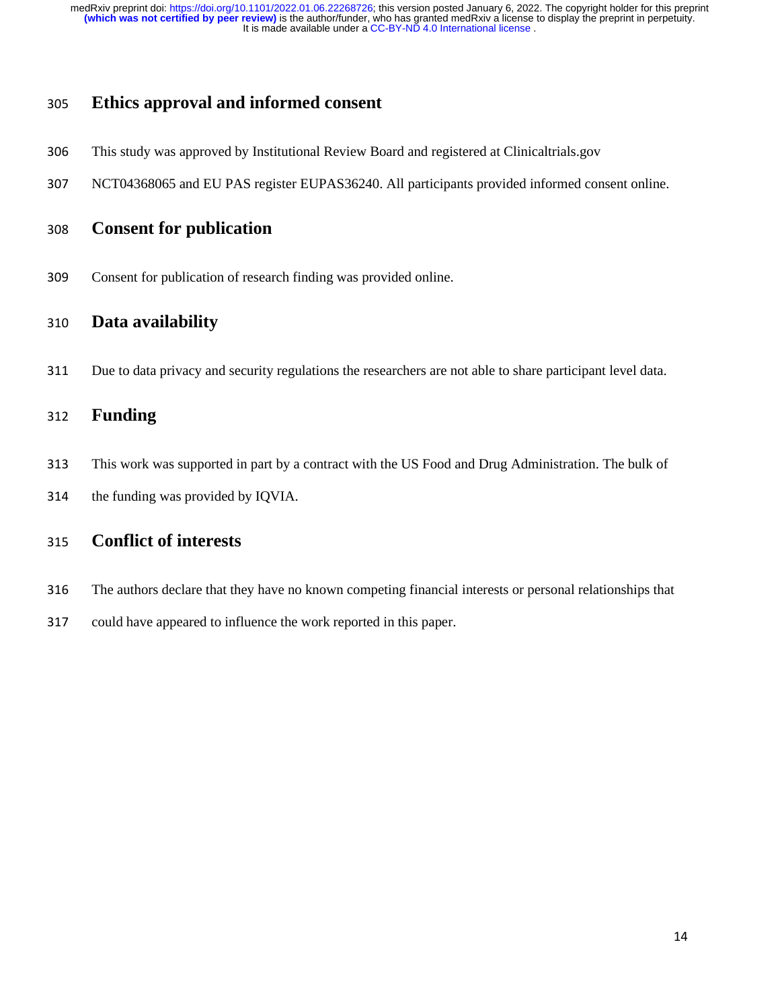# **Ethics approval and informed consent**

- This study was approved by Institutional Review Board and registered at Clinicaltrials.gov
- NCT04368065 and EU PAS register EUPAS36240. All participants provided informed consent online.

# **Consent for publication**

Consent for publication of research finding was provided online.

### **Data availability**

Due to data privacy and security regulations the researchers are not able to share participant level data.

# **Funding**

- This work was supported in part by a contract with the US Food and Drug Administration. The bulk of
- the funding was provided by IQVIA.

# **Conflict of interests**

- The authors declare that they have no known competing financial interests or personal relationships that
- could have appeared to influence the work reported in this paper.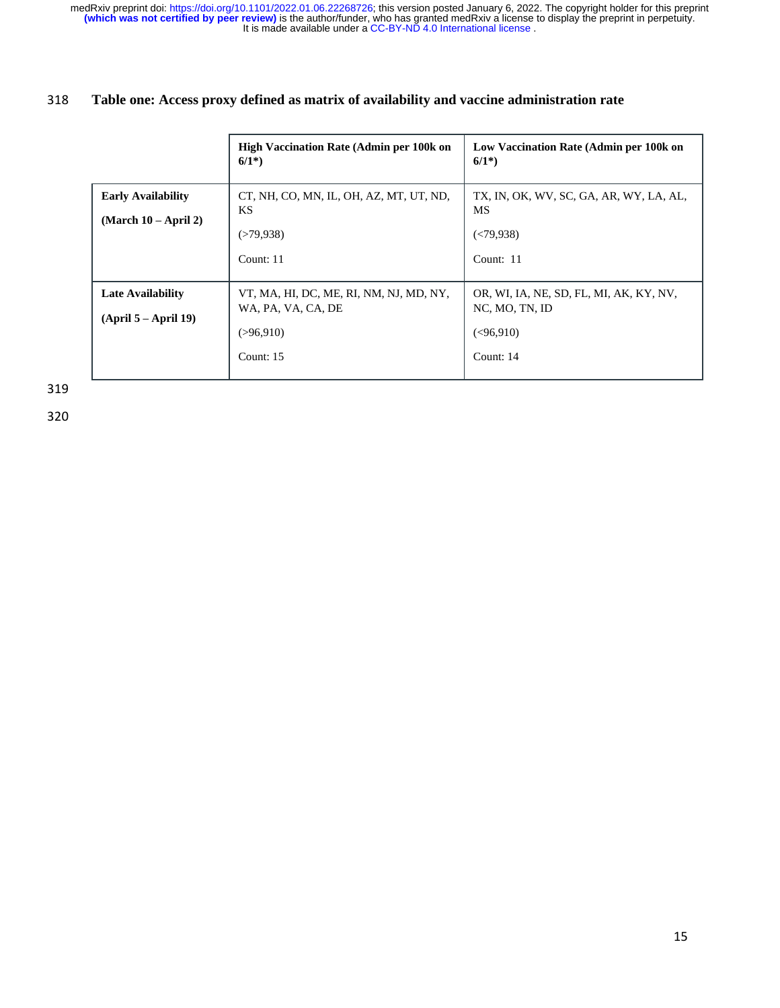## 318 **Table one: Access proxy defined as matrix of availability and vaccine administration rate**

|                                                     | <b>High Vaccination Rate (Admin per 100k on</b><br>$6/1^*$                                   | Low Vaccination Rate (Admin per 100k on<br>$6/1^*$                                   |
|-----------------------------------------------------|----------------------------------------------------------------------------------------------|--------------------------------------------------------------------------------------|
| <b>Early Availability</b><br>$(March 10 - April 2)$ | CT, NH, CO, MN, IL, OH, AZ, MT, UT, ND,<br><b>KS</b><br>(>79,938)<br>Count: $11$             | TX, IN, OK, WV, SC, GA, AR, WY, LA, AL,<br>MS<br>(<79.938)<br>Count: $11$            |
| <b>Late Availability</b><br>$(April 5 - April 19)$  | VT, MA, HI, DC, ME, RI, NM, NJ, MD, NY,<br>WA, PA, VA, CA, DE<br>( > 96, 910)<br>Count: $15$ | OR, WI, IA, NE, SD, FL, MI, AK, KY, NV,<br>NC, MO, TN, ID<br>(< 96.910)<br>Count: 14 |

319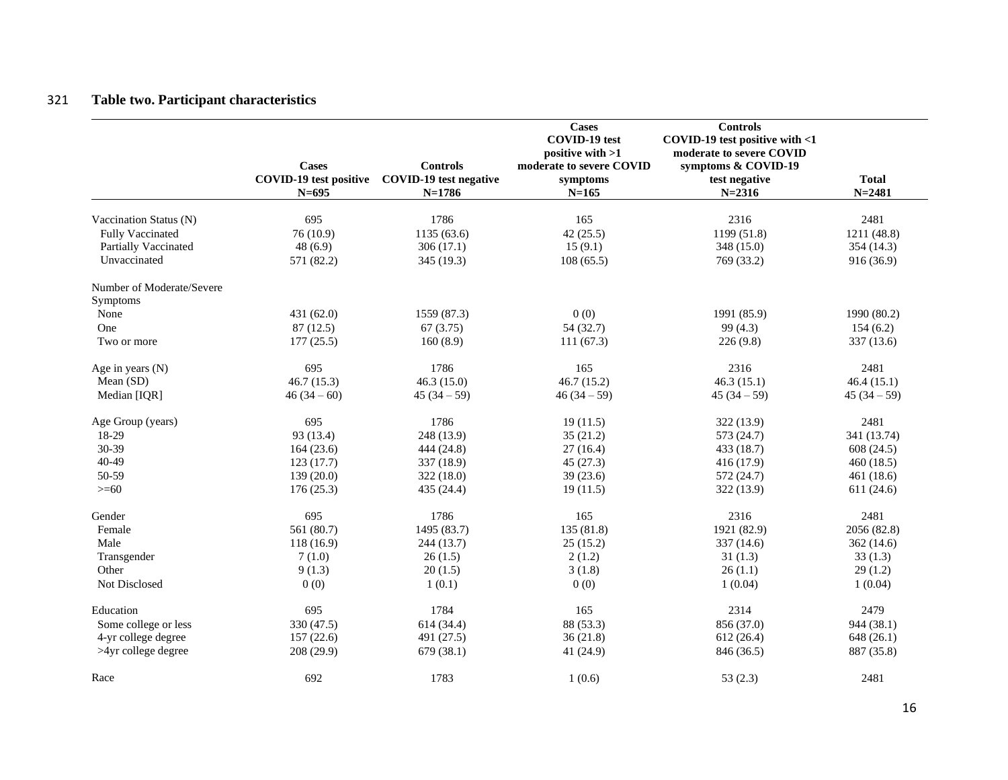# 321 **Table two. Participant characteristics**

|                           | <b>Cases</b><br><b>COVID-19</b> test positive<br>$N = 695$ | <b>Controls</b><br><b>COVID-19</b> test negative<br>$N=1786$ | <b>Cases</b><br>COVID-19 test<br>positive with >1<br>moderate to severe COVID<br>symptoms<br>$N = 165$ | <b>Controls</b><br>COVID-19 test positive with <1<br>moderate to severe COVID<br>symptoms & COVID-19<br>test negative<br>$N = 2316$ | <b>Total</b><br>$N = 2481$ |
|---------------------------|------------------------------------------------------------|--------------------------------------------------------------|--------------------------------------------------------------------------------------------------------|-------------------------------------------------------------------------------------------------------------------------------------|----------------------------|
| Vaccination Status (N)    | 695                                                        | 1786                                                         | 165                                                                                                    | 2316                                                                                                                                | 2481                       |
| <b>Fully Vaccinated</b>   | 76(10.9)                                                   | 1135 (63.6)                                                  | 42(25.5)                                                                                               | 1199 (51.8)                                                                                                                         | 1211 (48.8)                |
| Partially Vaccinated      | 48(6.9)                                                    | 306(17.1)                                                    | 15(9.1)                                                                                                | 348 (15.0)                                                                                                                          | 354(14.3)                  |
| Unvaccinated              | 571 (82.2)                                                 | 345 (19.3)                                                   | 108(65.5)                                                                                              | 769 (33.2)                                                                                                                          | 916(36.9)                  |
|                           |                                                            |                                                              |                                                                                                        |                                                                                                                                     |                            |
| Number of Moderate/Severe |                                                            |                                                              |                                                                                                        |                                                                                                                                     |                            |
| Symptoms                  |                                                            |                                                              |                                                                                                        |                                                                                                                                     |                            |
| None                      | 431(62.0)                                                  | 1559 (87.3)                                                  | 0(0)                                                                                                   | 1991 (85.9)                                                                                                                         | 1990 (80.2)                |
| One                       | 87 (12.5)                                                  | 67(3.75)                                                     | 54 (32.7)                                                                                              | 99 (4.3)                                                                                                                            | 154(6.2)                   |
| Two or more               | 177(25.5)                                                  | 160(8.9)                                                     | 111(67.3)                                                                                              | 226(9.8)                                                                                                                            | 337 (13.6)                 |
| Age in years $(N)$        | 695                                                        | 1786                                                         | 165                                                                                                    | 2316                                                                                                                                | 2481                       |
| Mean (SD)                 | 46.7(15.3)                                                 | 46.3 $(15.0)$                                                | 46.7(15.2)                                                                                             | 46.3(15.1)                                                                                                                          | 46.4(15.1)                 |
| Median [IQR]              | $46(34-60)$                                                | $45(34-59)$                                                  | $46(34-59)$                                                                                            | $45(34-59)$                                                                                                                         | $45(34-59)$                |
| Age Group (years)         | 695                                                        | 1786                                                         | 19(11.5)                                                                                               | 322 (13.9)                                                                                                                          | 2481                       |
| 18-29                     | 93 (13.4)                                                  | 248 (13.9)                                                   | 35(21.2)                                                                                               | 573 (24.7)                                                                                                                          | 341 (13.74)                |
| 30-39                     | 164(23.6)                                                  | 444 (24.8)                                                   | 27(16.4)                                                                                               | 433 (18.7)                                                                                                                          | 608 (24.5)                 |
| 40-49                     | 123(17.7)                                                  | 337 (18.9)                                                   | 45(27.3)                                                                                               | 416(17.9)                                                                                                                           | 460(18.5)                  |
| 50-59                     | 139(20.0)                                                  | 322(18.0)                                                    | 39(23.6)                                                                                               | 572 (24.7)                                                                                                                          | 461(18.6)                  |
| $>= 60$                   | 176(25.3)                                                  | 435 (24.4)                                                   | 19(11.5)                                                                                               | 322 (13.9)                                                                                                                          | 611(24.6)                  |
|                           |                                                            |                                                              |                                                                                                        |                                                                                                                                     |                            |
| Gender                    | 695                                                        | 1786                                                         | 165                                                                                                    | 2316                                                                                                                                | 2481                       |
| Female                    | 561 (80.7)                                                 | 1495 (83.7)                                                  | 135 (81.8)                                                                                             | 1921 (82.9)                                                                                                                         | 2056 (82.8)                |
| Male                      | 118(16.9)                                                  | 244 (13.7)                                                   | 25(15.2)                                                                                               | 337 (14.6)                                                                                                                          | 362(14.6)                  |
| Transgender               | 7(1.0)                                                     | 26(1.5)                                                      | 2(1.2)                                                                                                 | 31(1.3)                                                                                                                             | 33(1.3)                    |
| Other                     | 9(1.3)                                                     | 20(1.5)                                                      | 3(1.8)                                                                                                 | 26(1.1)                                                                                                                             | 29(1.2)                    |
| Not Disclosed             | 0(0)                                                       | 1(0.1)                                                       | 0(0)                                                                                                   | 1(0.04)                                                                                                                             | 1(0.04)                    |
| Education                 | 695                                                        | 1784                                                         | 165                                                                                                    | 2314                                                                                                                                | 2479                       |
| Some college or less      | 330 (47.5)                                                 | 614 (34.4)                                                   | 88 (53.3)                                                                                              | 856 (37.0)                                                                                                                          | 944 (38.1)                 |
| 4-yr college degree       | 157(22.6)                                                  | 491 (27.5)                                                   | 36(21.8)                                                                                               | 612(26.4)                                                                                                                           | 648(26.1)                  |
| >4yr college degree       | 208(29.9)                                                  | 679 (38.1)                                                   | 41 (24.9)                                                                                              | 846 (36.5)                                                                                                                          | 887 (35.8)                 |
| Race                      | 692                                                        | 1783                                                         | 1(0.6)                                                                                                 | 53 $(2.3)$                                                                                                                          | 2481                       |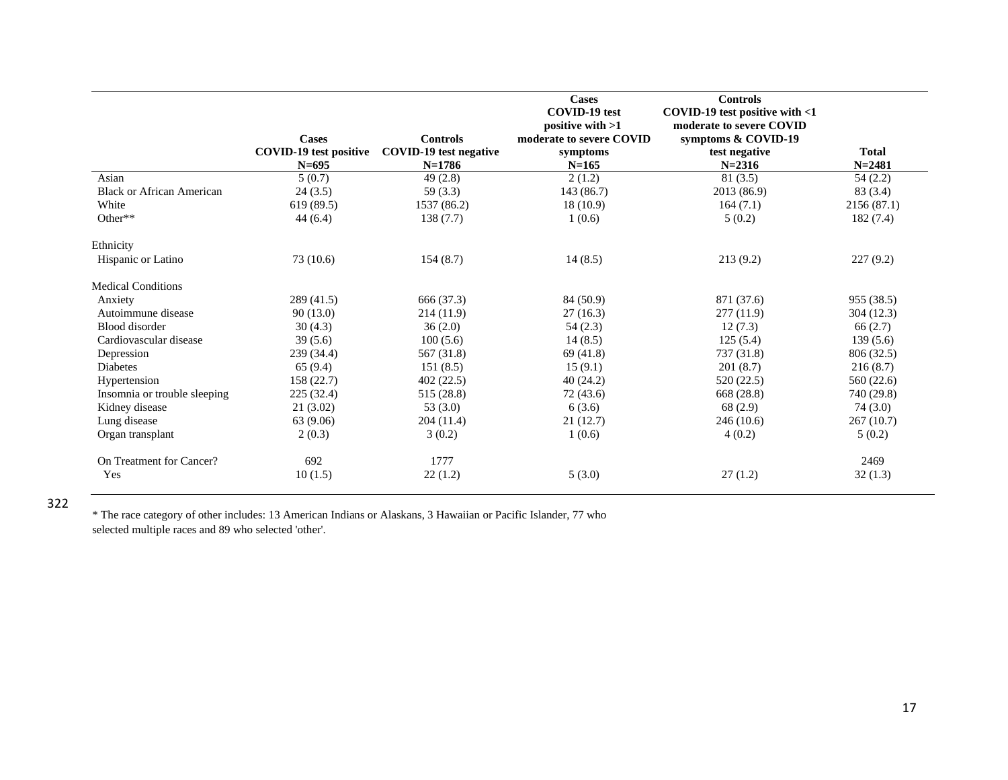|                                  | <b>Cases</b><br><b>COVID-19</b> test positive<br>$N = 695$ | <b>Controls</b><br>COVID-19 test negative<br>$N=1786$ | <b>Cases</b><br><b>COVID-19</b> test<br>positive with $>1$<br>moderate to severe COVID<br>symptoms<br>$N = 165$ | <b>Controls</b><br>COVID-19 test positive with $<$ 1<br>moderate to severe COVID<br>symptoms & COVID-19<br>test negative<br>$N = 2316$ | <b>Total</b><br>$N = 2481$ |
|----------------------------------|------------------------------------------------------------|-------------------------------------------------------|-----------------------------------------------------------------------------------------------------------------|----------------------------------------------------------------------------------------------------------------------------------------|----------------------------|
| Asian                            | 5(0.7)                                                     | 49(2.8)                                               | 2(1.2)                                                                                                          | 81(3.5)                                                                                                                                | 54(2.2)                    |
| <b>Black or African American</b> | 24(3.5)                                                    | 59(3.3)                                               | 143 (86.7)                                                                                                      | 2013 (86.9)                                                                                                                            | 83 (3.4)                   |
| White                            | 619(89.5)                                                  | 1537 (86.2)                                           | 18(10.9)                                                                                                        | 164(7.1)                                                                                                                               | 2156 (87.1)                |
| Other**                          | 44(6.4)                                                    | 138(7.7)                                              | 1(0.6)                                                                                                          | 5(0.2)                                                                                                                                 | 182(7.4)                   |
| Ethnicity                        |                                                            |                                                       |                                                                                                                 |                                                                                                                                        |                            |
| Hispanic or Latino               | 73 (10.6)                                                  | 154(8.7)                                              | 14(8.5)                                                                                                         | 213(9.2)                                                                                                                               | 227(9.2)                   |
| <b>Medical Conditions</b>        |                                                            |                                                       |                                                                                                                 |                                                                                                                                        |                            |
| Anxiety                          | 289(41.5)                                                  | 666 (37.3)                                            | 84 (50.9)                                                                                                       | 871 (37.6)                                                                                                                             | 955 (38.5)                 |
| Autoimmune disease               | 90(13.0)                                                   | 214 (11.9)                                            | 27(16.3)                                                                                                        | 277 (11.9)                                                                                                                             | 304(12.3)                  |
| Blood disorder                   | 30(4.3)                                                    | 36(2.0)                                               | 54(2.3)                                                                                                         | 12(7.3)                                                                                                                                | 66(2.7)                    |
| Cardiovascular disease           | 39(5.6)                                                    | 100(5.6)                                              | 14(8.5)                                                                                                         | 125(5.4)                                                                                                                               | 139(5.6)                   |
| Depression                       | 239 (34.4)                                                 | 567 (31.8)                                            | 69(41.8)                                                                                                        | 737 (31.8)                                                                                                                             | 806 (32.5)                 |
| <b>Diabetes</b>                  | 65(9.4)                                                    | 151(8.5)                                              | 15(9.1)                                                                                                         | 201(8.7)                                                                                                                               | 216(8.7)                   |
| Hypertension                     | 158(22.7)                                                  | 402(22.5)                                             | 40(24.2)                                                                                                        | 520 (22.5)                                                                                                                             | 560 (22.6)                 |
| Insomnia or trouble sleeping     | 225 (32.4)                                                 | 515 (28.8)                                            | 72 (43.6)                                                                                                       | 668 (28.8)                                                                                                                             | 740 (29.8)                 |
| Kidney disease                   | 21(3.02)                                                   | 53 $(3.0)$                                            | 6(3.6)                                                                                                          | 68 (2.9)                                                                                                                               | 74(3.0)                    |
| Lung disease                     | 63 (9.06)                                                  | 204(11.4)                                             | 21(12.7)                                                                                                        | 246(10.6)                                                                                                                              | 267(10.7)                  |
| Organ transplant                 | 2(0.3)                                                     | 3(0.2)                                                | 1(0.6)                                                                                                          | 4(0.2)                                                                                                                                 | 5(0.2)                     |
| On Treatment for Cancer?         | 692                                                        | 1777                                                  |                                                                                                                 |                                                                                                                                        | 2469                       |
| Yes                              | 10(1.5)                                                    | 22(1.2)                                               | 5(3.0)                                                                                                          | 27(1.2)                                                                                                                                | 32(1.3)                    |

322

\* The race category of other includes: 13 American Indians or Alaskans, 3 Hawaiian or Pacific Islander, 77 who selected multiple races and 89 who selected 'other'.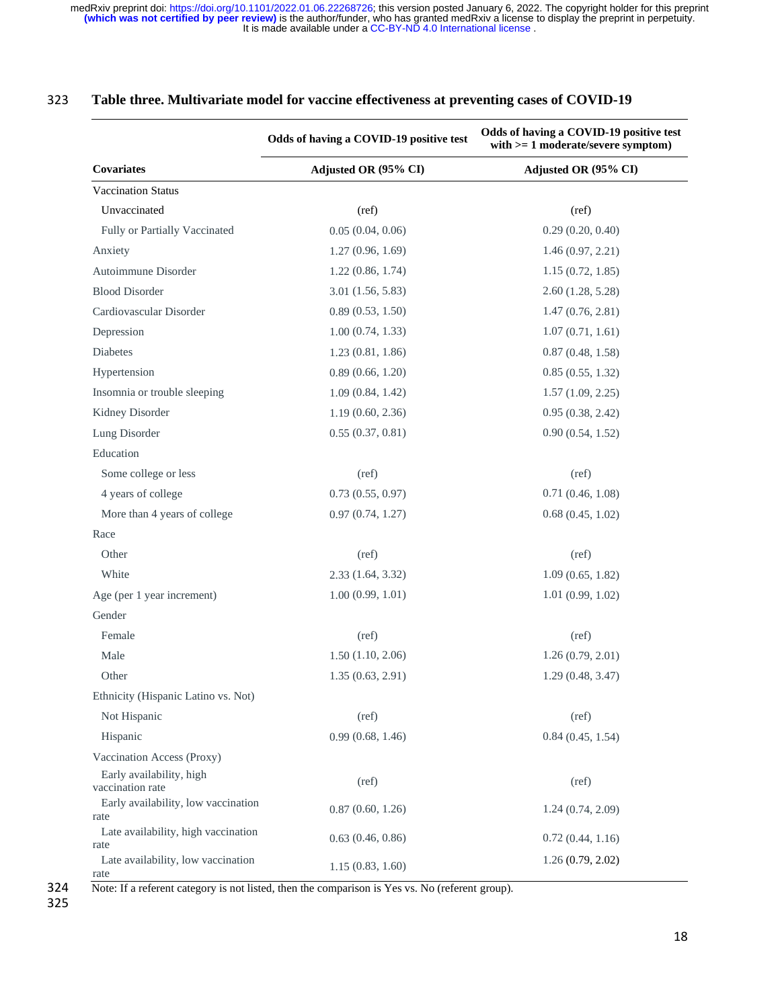|                                              | Odds of having a COVID-19 positive test | Odds of having a COVID-19 positive test<br>with $>= 1$ moderate/severe symptom)<br>Adjusted OR (95% CI) |  |  |
|----------------------------------------------|-----------------------------------------|---------------------------------------------------------------------------------------------------------|--|--|
| Covariates                                   | Adjusted OR (95% CI)                    |                                                                                                         |  |  |
| <b>Vaccination Status</b>                    |                                         |                                                                                                         |  |  |
| Unvaccinated                                 | (ref)                                   | (ref)                                                                                                   |  |  |
| Fully or Partially Vaccinated                | 0.05(0.04, 0.06)                        | 0.29(0.20, 0.40)                                                                                        |  |  |
| Anxiety                                      | 1.27(0.96, 1.69)                        | 1.46(0.97, 2.21)                                                                                        |  |  |
| Autoimmune Disorder                          | 1.22(0.86, 1.74)                        | 1.15(0.72, 1.85)                                                                                        |  |  |
| <b>Blood Disorder</b>                        | $3.01$ $(1.56, 5.83)$                   | 2.60(1.28, 5.28)                                                                                        |  |  |
| Cardiovascular Disorder                      | 0.89(0.53, 1.50)                        | 1.47(0.76, 2.81)                                                                                        |  |  |
| Depression                                   | 1.00(0.74, 1.33)                        | 1.07(0.71, 1.61)                                                                                        |  |  |
| <b>Diabetes</b>                              | 1.23(0.81, 1.86)                        | 0.87(0.48, 1.58)                                                                                        |  |  |
| Hypertension                                 | 0.89(0.66, 1.20)                        | 0.85(0.55, 1.32)                                                                                        |  |  |
| Insomnia or trouble sleeping                 | 1.09(0.84, 1.42)                        | 1.57(1.09, 2.25)                                                                                        |  |  |
| Kidney Disorder                              | 1.19(0.60, 2.36)                        | 0.95(0.38, 2.42)                                                                                        |  |  |
| Lung Disorder                                | 0.55(0.37, 0.81)                        | 0.90(0.54, 1.52)                                                                                        |  |  |
| Education                                    |                                         |                                                                                                         |  |  |
| Some college or less                         | (ref)                                   | (ref)                                                                                                   |  |  |
| 4 years of college                           | 0.73(0.55, 0.97)                        | 0.71(0.46, 1.08)                                                                                        |  |  |
| More than 4 years of college                 | 0.97(0.74, 1.27)                        | 0.68(0.45, 1.02)                                                                                        |  |  |
| Race                                         |                                         |                                                                                                         |  |  |
| Other                                        | (ref)                                   | (ref)                                                                                                   |  |  |
| White                                        | 2.33(1.64, 3.32)                        | 1.09(0.65, 1.82)                                                                                        |  |  |
| Age (per 1 year increment)                   | 1.00(0.99, 1.01)                        | 1.01(0.99, 1.02)                                                                                        |  |  |
| Gender                                       |                                         |                                                                                                         |  |  |
| Female                                       | (ref)                                   | (ref)                                                                                                   |  |  |
| Male                                         | 1.50(1.10, 2.06)                        | 1.26(0.79, 2.01)                                                                                        |  |  |
| Other                                        | 1.35(0.63, 2.91)                        | 1.29(0.48, 3.47)                                                                                        |  |  |
| Ethnicity (Hispanic Latino vs. Not)          |                                         |                                                                                                         |  |  |
| Not Hispanic                                 | (ref)                                   | (ref)                                                                                                   |  |  |
| Hispanic                                     | 0.99(0.68, 1.46)                        | 0.84(0.45, 1.54)                                                                                        |  |  |
| Vaccination Access (Proxy)                   |                                         |                                                                                                         |  |  |
| Early availability, high<br>vaccination rate | (ref)                                   | (ref)                                                                                                   |  |  |
| Early availability, low vaccination<br>rate  | 0.87(0.60, 1.26)                        | 1.24(0.74, 2.09)                                                                                        |  |  |
| Late availability, high vaccination<br>rate  | 0.63(0.46, 0.86)                        | 0.72(0.44, 1.16)                                                                                        |  |  |
| Late availability, low vaccination<br>rate   | 1.15(0.83, 1.60)                        | 1.26(0.79, 2.02)                                                                                        |  |  |

## 323 **Table three. Multivariate model for vaccine effectiveness at preventing cases of COVID-19**

324 Note: If a referent category is not listed, then the comparison is Yes vs. No (referent group).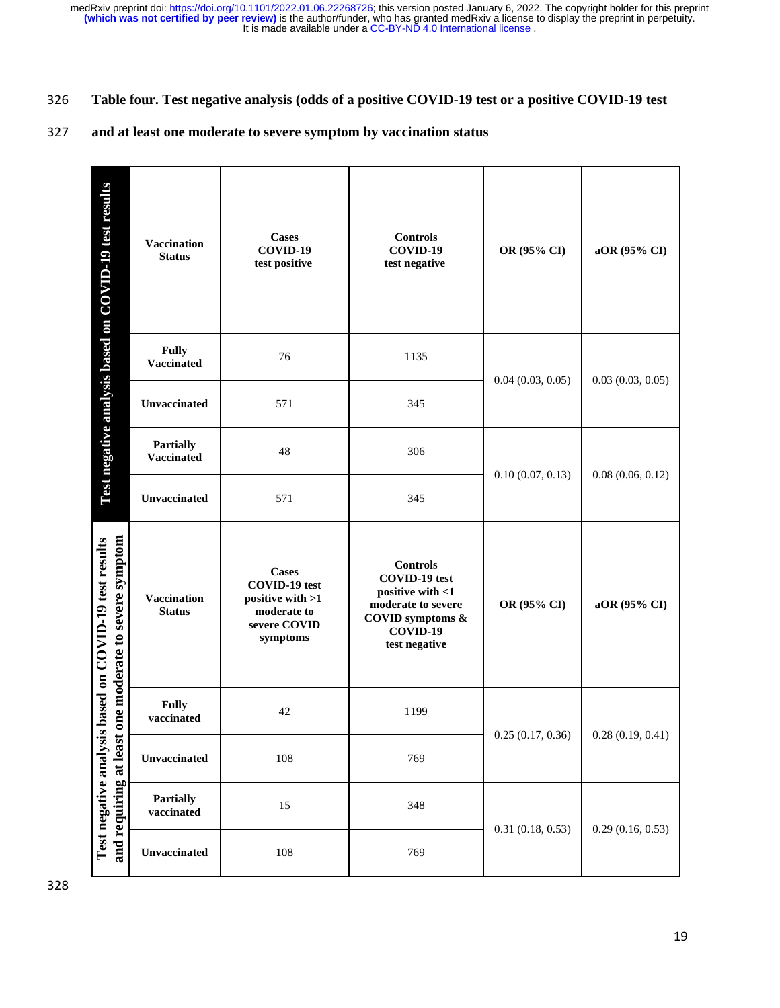### 326 **Table four. Test negative analysis (odds of a positive COVID-19 test or a positive COVID-19 test**

### 327 **and at least one moderate to severe symptom by vaccination status**

| Test negative analysis based on COVID-19 test results                                                             | Vaccination<br><b>Status</b>          | <b>Cases</b><br>COVID-19<br>test positive                                                           | <b>Controls</b><br>COVID-19<br>test negative                                                                                       | OR (95% CI)      | aOR (95% CI)     |
|-------------------------------------------------------------------------------------------------------------------|---------------------------------------|-----------------------------------------------------------------------------------------------------|------------------------------------------------------------------------------------------------------------------------------------|------------------|------------------|
|                                                                                                                   | <b>Fully</b><br><b>Vaccinated</b>     | 76                                                                                                  | 1135                                                                                                                               | 0.04(0.03, 0.05) |                  |
|                                                                                                                   | Unvaccinated                          | 571                                                                                                 | 345                                                                                                                                |                  | 0.03(0.03, 0.05) |
| one moderate to severe symptom<br>Test negative analysis based on COVID-19 test results<br>and requiring at least | <b>Partially</b><br><b>Vaccinated</b> | 48                                                                                                  | 306                                                                                                                                | 0.10(0.07, 0.13) | 0.08(0.06, 0.12) |
|                                                                                                                   | <b>Unvaccinated</b>                   | 571                                                                                                 | 345                                                                                                                                |                  |                  |
|                                                                                                                   | <b>Vaccination</b><br><b>Status</b>   | <b>Cases</b><br><b>COVID-19</b> test<br>positive with >1<br>moderate to<br>severe COVID<br>symptoms | <b>Controls</b><br><b>COVID-19</b> test<br>positive with <1<br>moderate to severe<br>COVID symptoms &<br>COVID-19<br>test negative | OR (95% CI)      | aOR (95% CI)     |
|                                                                                                                   | <b>Fully</b><br>vaccinated            | 42                                                                                                  | 1199                                                                                                                               | 0.25(0.17, 0.36) |                  |
|                                                                                                                   | Unvaccinated                          | 108                                                                                                 | 769                                                                                                                                |                  | 0.28(0.19, 0.41) |
|                                                                                                                   | <b>Partially</b><br>vaccinated        | 15                                                                                                  | 348                                                                                                                                | 0.31(0.18, 0.53) | 0.29(0.16, 0.53) |
|                                                                                                                   | Unvaccinated                          | 108                                                                                                 | 769                                                                                                                                |                  |                  |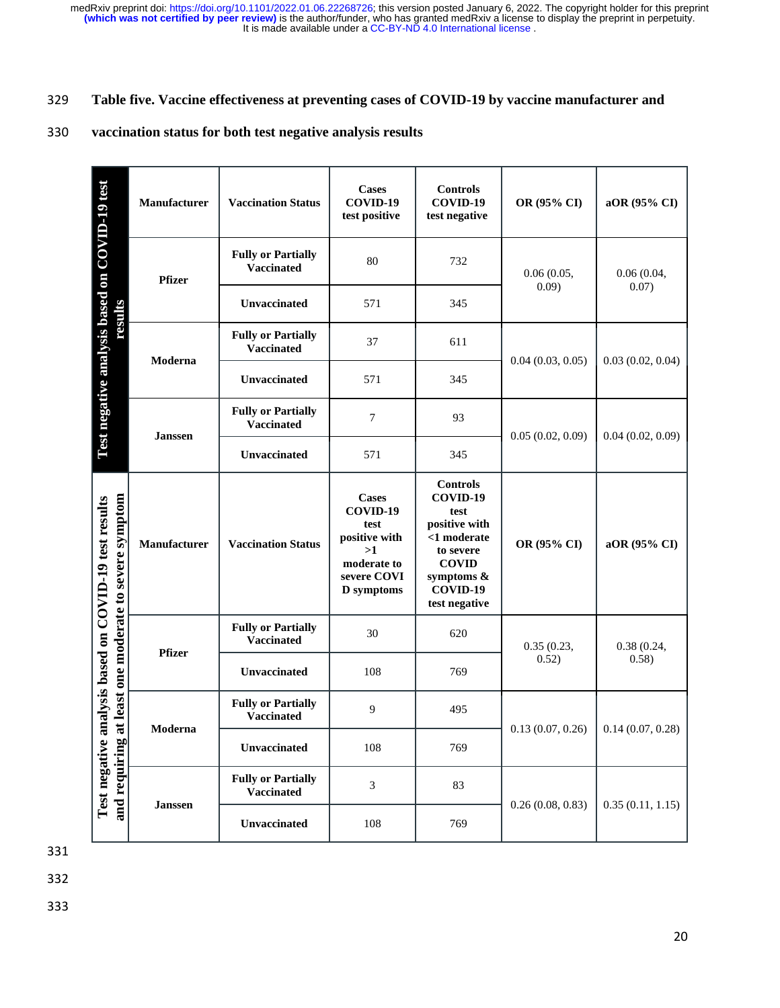### 329 **Table five. Vaccine effectiveness at preventing cases of COVID-19 by vaccine manufacturer and**

### 330 **vaccination status for both test negative analysis results**

|                                                                                                                      | Manufacturer   | <b>Vaccination Status</b>                      | <b>Cases</b><br>COVID-19<br>test positive                                                                  | <b>Controls</b><br>COVID-19<br>test negative                                                                                                | OR (95% CI)         | aOR (95% CI)        |
|----------------------------------------------------------------------------------------------------------------------|----------------|------------------------------------------------|------------------------------------------------------------------------------------------------------------|---------------------------------------------------------------------------------------------------------------------------------------------|---------------------|---------------------|
| Test negative analysis based on COVID-19 test<br>results                                                             | <b>Pfizer</b>  | <b>Fully or Partially</b><br>Vaccinated        | 80                                                                                                         | 732                                                                                                                                         | 0.06(0.05,<br>0.09) | 0.06(0.04,<br>0.07) |
|                                                                                                                      |                | Unvaccinated                                   | 571                                                                                                        | 345                                                                                                                                         |                     |                     |
|                                                                                                                      | Moderna        | <b>Fully or Partially</b><br><b>Vaccinated</b> | 37                                                                                                         | 611                                                                                                                                         | 0.04(0.03, 0.05)    |                     |
|                                                                                                                      |                | Unvaccinated                                   | 571                                                                                                        | 345                                                                                                                                         |                     | 0.03(0.02, 0.04)    |
|                                                                                                                      | <b>Janssen</b> | <b>Fully or Partially</b><br><b>Vaccinated</b> | $\overline{7}$                                                                                             | 93                                                                                                                                          | 0.05(0.02, 0.09)    | 0.04(0.02, 0.09)    |
|                                                                                                                      |                | Unvaccinated                                   | 571                                                                                                        | 345                                                                                                                                         |                     |                     |
| at least one moderate to severe symptom<br>analysis based on COVID-19 test results<br>Test negative<br>and requiring | Manufacturer   | <b>Vaccination Status</b>                      | <b>Cases</b><br>COVID-19<br>test<br>positive with<br>>1<br>moderate to<br>severe COVI<br><b>D</b> symptoms | <b>Controls</b><br>COVID-19<br>test<br>positive with<br><1 moderate<br>to severe<br><b>COVID</b><br>symptoms &<br>COVID-19<br>test negative | OR (95% CI)         | aOR (95% CI)        |
|                                                                                                                      | <b>Pfizer</b>  | <b>Fully or Partially</b><br><b>Vaccinated</b> | 30                                                                                                         | 620                                                                                                                                         | 0.35(0.23,<br>0.52) | 0.38(0.24,<br>0.58) |
|                                                                                                                      |                | Unvaccinated                                   | 108                                                                                                        | 769                                                                                                                                         |                     |                     |
|                                                                                                                      | Moderna        | <b>Fully or Partially</b><br><b>Vaccinated</b> | 9                                                                                                          | 495                                                                                                                                         | 0.13(0.07, 0.26)    | 0.14(0.07, 0.28)    |
|                                                                                                                      |                | Unvaccinated                                   | 108                                                                                                        | 769                                                                                                                                         |                     |                     |
|                                                                                                                      |                | <b>Fully or Partially</b><br><b>Vaccinated</b> | 3                                                                                                          | 83                                                                                                                                          | 0.26(0.08, 0.83)    | 0.35(0.11, 1.15)    |
|                                                                                                                      | <b>Janssen</b> |                                                |                                                                                                            |                                                                                                                                             |                     |                     |

331

332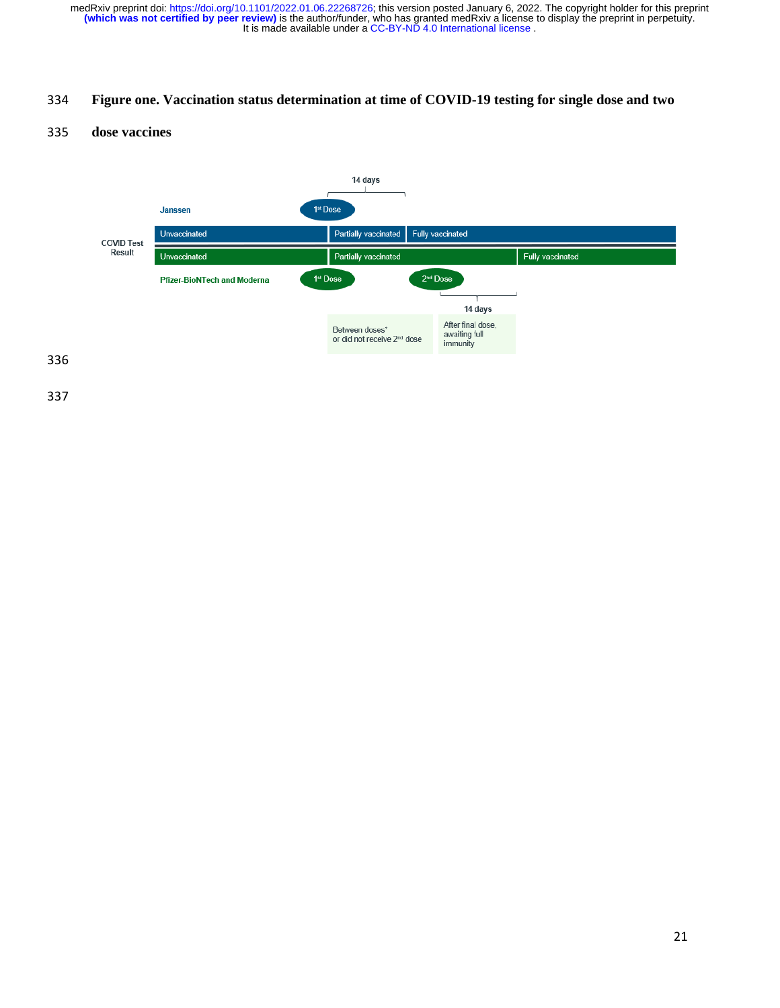## **Figure one. Vaccination status determination at time of COVID-19 testing for single dose and two**

### **dose vaccines**

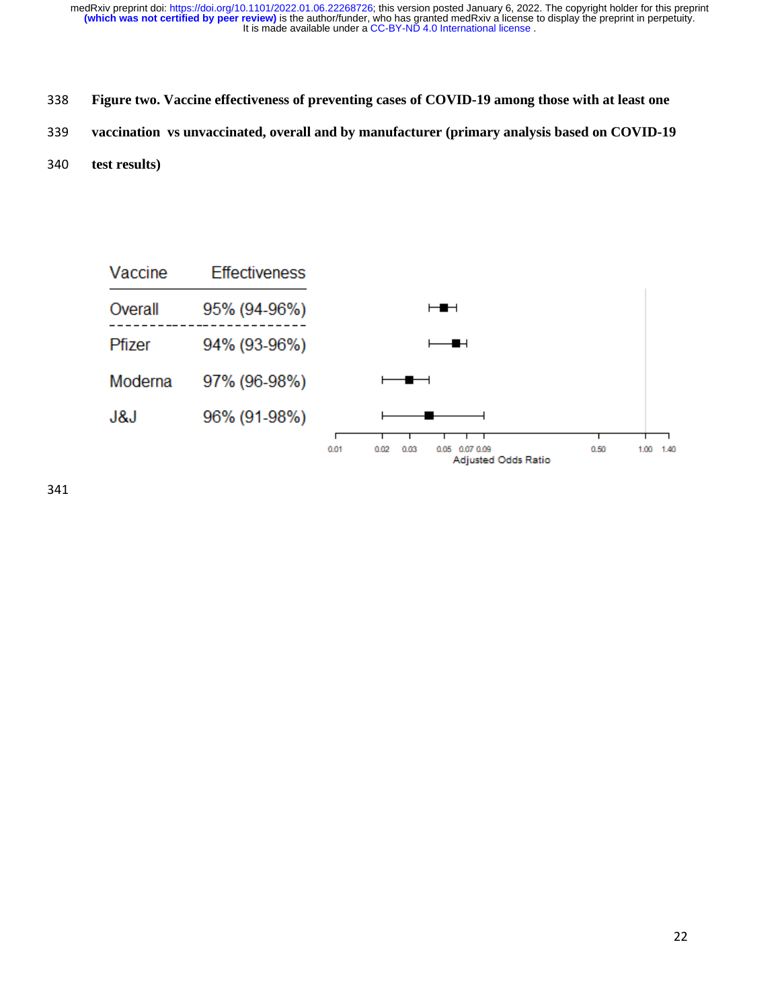- **Figure two. Vaccine effectiveness of preventing cases of COVID-19 among those with at least one**
- **vaccination vs unvaccinated, overall and by manufacturer (primary analysis based on COVID-19**
- **test results)**

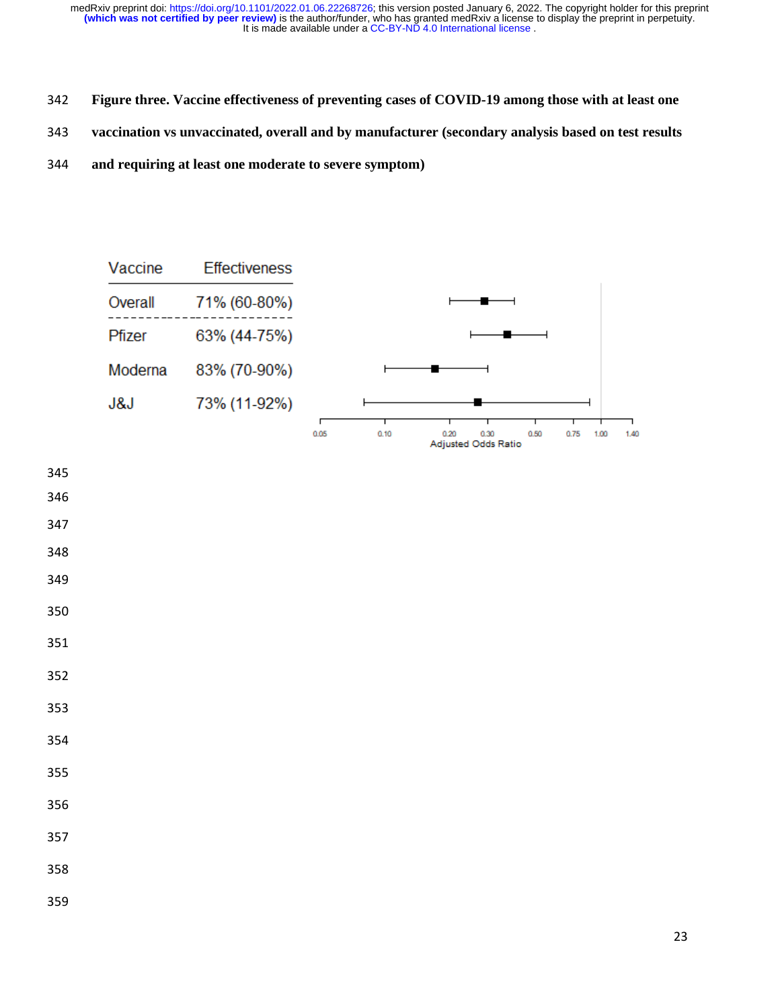- **Figure three. Vaccine effectiveness of preventing cases of COVID-19 among those with at least one**
- **vaccination vs unvaccinated, overall and by manufacturer (secondary analysis based on test results**
- **and requiring at least one moderate to severe symptom)**



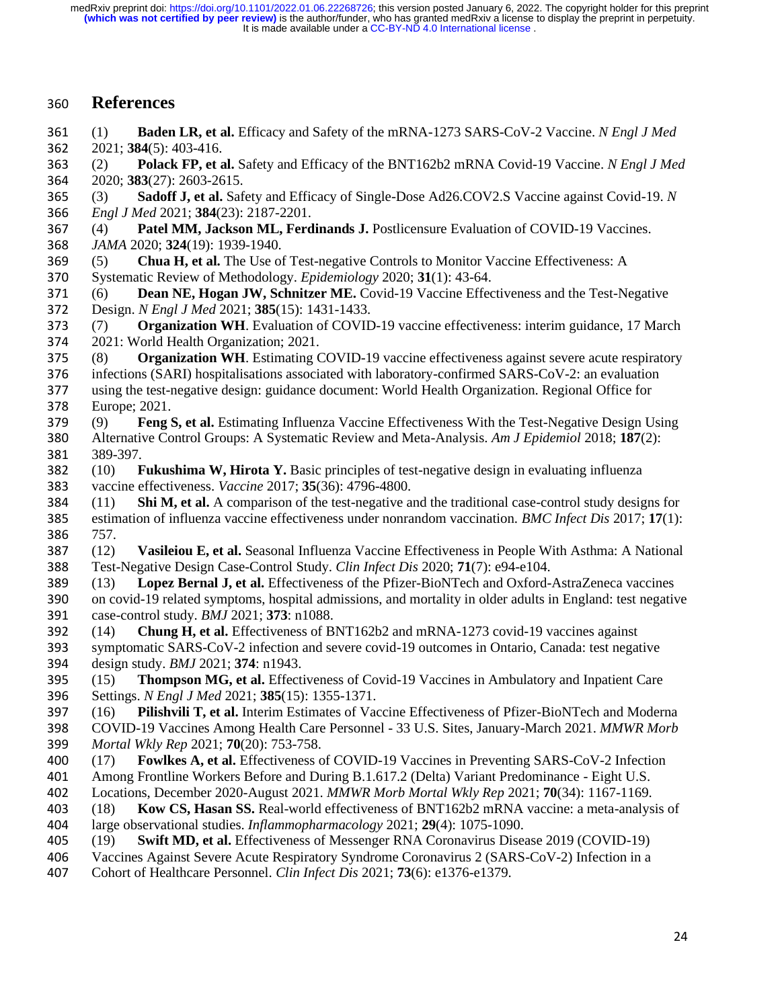## **References**

- (1) **Baden LR, et al.** Efficacy and Safety of the mRNA-1273 SARS-CoV-2 Vaccine. *N Engl J Med* 2021; **384**(5): 403-416.
- (2) **Polack FP, et al.** Safety and Efficacy of the BNT162b2 mRNA Covid-19 Vaccine. *N Engl J Med* 2020; **383**(27): 2603-2615.
- (3) **Sadoff J, et al.** Safety and Efficacy of Single-Dose Ad26.COV2.S Vaccine against Covid-19. *N Engl J Med* 2021; **384**(23): 2187-2201.
- (4) **Patel MM, Jackson ML, Ferdinands J.** Postlicensure Evaluation of COVID-19 Vaccines. *JAMA* 2020; **324**(19): 1939-1940.
- (5) **Chua H, et al.** The Use of Test-negative Controls to Monitor Vaccine Effectiveness: A Systematic Review of Methodology. *Epidemiology* 2020; **31**(1): 43-64.
- (6) **Dean NE, Hogan JW, Schnitzer ME.** Covid-19 Vaccine Effectiveness and the Test-Negative Design. *N Engl J Med* 2021; **385**(15): 1431-1433.
- (7) **Organization WH**. Evaluation of COVID-19 vaccine effectiveness: interim guidance, 17 March 2021: World Health Organization; 2021.
- (8) **Organization WH**. Estimating COVID-19 vaccine effectiveness against severe acute respiratory
- infections (SARI) hospitalisations associated with laboratory-confirmed SARS-CoV-2: an evaluation
- using the test-negative design: guidance document: World Health Organization. Regional Office for Europe; 2021.
- (9) **Feng S, et al.** Estimating Influenza Vaccine Effectiveness With the Test-Negative Design Using Alternative Control Groups: A Systematic Review and Meta-Analysis. *Am J Epidemiol* 2018; **187**(2): 389-397.
- (10) **Fukushima W, Hirota Y.** Basic principles of test-negative design in evaluating influenza vaccine effectiveness. *Vaccine* 2017; **35**(36): 4796-4800.
- (11) **Shi M, et al.** A comparison of the test-negative and the traditional case-control study designs for estimation of influenza vaccine effectiveness under nonrandom vaccination. *BMC Infect Dis* 2017; **17**(1): 757.
- (12) **Vasileiou E, et al.** Seasonal Influenza Vaccine Effectiveness in People With Asthma: A National Test-Negative Design Case-Control Study. *Clin Infect Dis* 2020; **71**(7): e94-e104.
- (13) **Lopez Bernal J, et al.** Effectiveness of the Pfizer-BioNTech and Oxford-AstraZeneca vaccines
- on covid-19 related symptoms, hospital admissions, and mortality in older adults in England: test negative case-control study. *BMJ* 2021; **373**: n1088.
- (14) **Chung H, et al.** Effectiveness of BNT162b2 and mRNA-1273 covid-19 vaccines against
- symptomatic SARS-CoV-2 infection and severe covid-19 outcomes in Ontario, Canada: test negative design study. *BMJ* 2021; **374**: n1943.
- (15) **Thompson MG, et al.** Effectiveness of Covid-19 Vaccines in Ambulatory and Inpatient Care Settings. *N Engl J Med* 2021; **385**(15): 1355-1371.
- (16) **Pilishvili T, et al.** Interim Estimates of Vaccine Effectiveness of Pfizer-BioNTech and Moderna
- COVID-19 Vaccines Among Health Care Personnel 33 U.S. Sites, January-March 2021. *MMWR Morb Mortal Wkly Rep* 2021; **70**(20): 753-758.
- (17) **Fowlkes A, et al.** Effectiveness of COVID-19 Vaccines in Preventing SARS-CoV-2 Infection Among Frontline Workers Before and During B.1.617.2 (Delta) Variant Predominance - Eight U.S.
- Locations, December 2020-August 2021. *MMWR Morb Mortal Wkly Rep* 2021; **70**(34): 1167-1169.
- (18) **Kow CS, Hasan SS.** Real-world effectiveness of BNT162b2 mRNA vaccine: a meta-analysis of large observational studies. *Inflammopharmacology* 2021; **29**(4): 1075-1090.
- (19) **Swift MD, et al.** Effectiveness of Messenger RNA Coronavirus Disease 2019 (COVID-19)
- Vaccines Against Severe Acute Respiratory Syndrome Coronavirus 2 (SARS-CoV-2) Infection in a
- Cohort of Healthcare Personnel. *Clin Infect Dis* 2021; **73**(6): e1376-e1379.